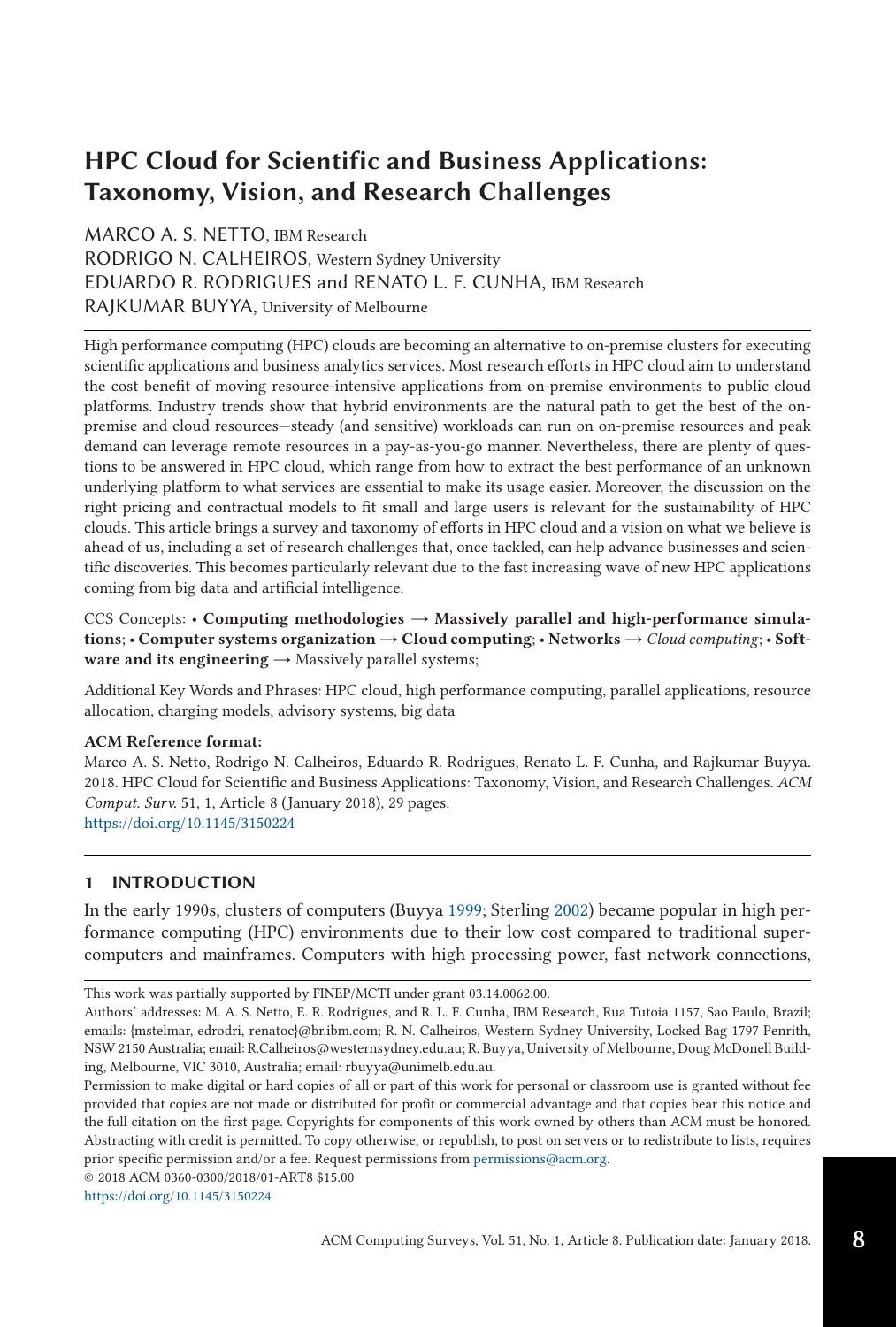# **HPC Cloud for Scientific and Business Applications: Taxonomy, Vision, and Research Challenges**

MARCO A. S. NETTO, IBM Research RODRIGO N. CALHEIROS, Western Sydney University EDUARDO R. RODRIGUES and RENATO L. F. CUNHA, IBM Research RAJKUMAR BUYYA, University of Melbourne

High performance computing (HPC) clouds are becoming an alternative to on-premise clusters for executing scientific applications and business analytics services. Most research efforts in HPC cloud aim to understand the cost benefit of moving resource-intensive applications from on-premise environments to public cloud platforms. Industry trends show that hybrid environments are the natural path to get the best of the onpremise and cloud resources—steady (and sensitive) workloads can run on on-premise resources and peak demand can leverage remote resources in a pay-as-you-go manner. Nevertheless, there are plenty of questions to be answered in HPC cloud, which range from how to extract the best performance of an unknown underlying platform to what services are essential to make its usage easier. Moreover, the discussion on the right pricing and contractual models to fit small and large users is relevant for the sustainability of HPC clouds. This article brings a survey and taxonomy of efforts in HPC cloud and a vision on what we believe is ahead of us, including a set of research challenges that, once tackled, can help advance businesses and scientific discoveries. This becomes particularly relevant due to the fast increasing wave of new HPC applications coming from big data and artificial intelligence.

CCS Concepts: • **Computing methodologies** → **Massively parallel and high-performance simulations**; • **Computer systems organization** → **Cloud computing**; • **Networks** → *Cloud computing*; • **Software and its engineering** → Massively parallel systems;

Additional Key Words and Phrases: HPC cloud, high performance computing, parallel applications, resource allocation, charging models, advisory systems, big data

## **ACM Reference format:**

Marco A. S. Netto, Rodrigo N. Calheiros, Eduardo R. Rodrigues, Renato L. F. Cunha, and Rajkumar Buyya. 2018. HPC Cloud for Scientific and Business Applications: Taxonomy, Vision, and Research Challenges. *ACM Comput. Surv.* 51, 1, Article 8 (January 2018), 29 pages. <https://doi.org/10.1145/3150224>

# **1 INTRODUCTION**

In the early 1990s, clusters of computers (Buyya [1999;](#page-23-0) Sterling [2002\)](#page-27-0) became popular in high performance computing (HPC) environments due to their low cost compared to traditional supercomputers and mainframes. Computers with high processing power, fast network connections,

This work was partially supported by FINEP/MCTI under grant 03.14.0062.00.

© 2018 ACM 0360-0300/2018/01-ART8 \$15.00

<https://doi.org/10.1145/3150224>

**8**

Authors' addresses: M. A. S. Netto, E. R. Rodrigues, and R. L. F. Cunha, IBM Research, Rua Tutoia 1157, Sao Paulo, Brazil; emails: {mstelmar, edrodri, renatoc}@br.ibm.com; R. N. Calheiros, Western Sydney University, Locked Bag 1797 Penrith, NSW 2150 Australia; email: R.Calheiros@westernsydney.edu.au; R. Buyya, University of Melbourne, Doug McDonell Building, Melbourne, VIC 3010, Australia; email: rbuyya@unimelb.edu.au.

Permission to make digital or hard copies of all or part of this work for personal or classroom use is granted without fee provided that copies are not made or distributed for profit or commercial advantage and that copies bear this notice and the full citation on the first page. Copyrights for components of this work owned by others than ACM must be honored. Abstracting with credit is permitted. To copy otherwise, or republish, to post on servers or to redistribute to lists, requires prior specific permission and/or a fee. Request permissions from [permissions@acm.org.](mailto:permissions@acm.org)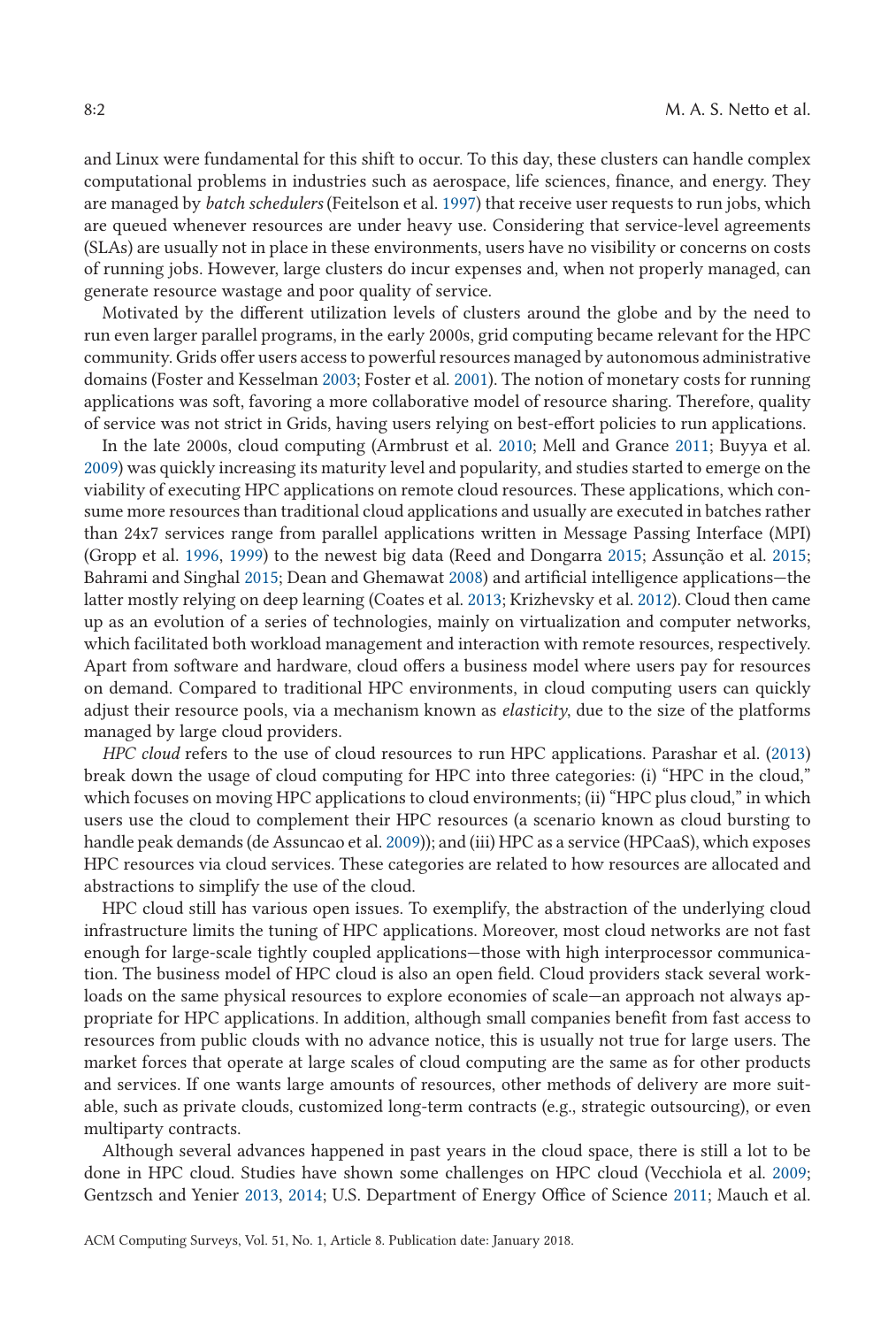and Linux were fundamental for this shift to occur. To this day, these clusters can handle complex computational problems in industries such as aerospace, life sciences, finance, and energy. They are managed by *batch schedulers* (Feitelson et al. [1997\)](#page-24-0) that receive user requests to run jobs, which are queued whenever resources are under heavy use. Considering that service-level agreements (SLAs) are usually not in place in these environments, users have no visibility or concerns on costs of running jobs. However, large clusters do incur expenses and, when not properly managed, can generate resource wastage and poor quality of service.

Motivated by the different utilization levels of clusters around the globe and by the need to run even larger parallel programs, in the early 2000s, grid computing became relevant for the HPC community. Grids offer users access to powerful resources managed by autonomous administrative domains (Foster and Kesselman [2003;](#page-25-0) Foster et al. [2001\)](#page-25-0). The notion of monetary costs for running applications was soft, favoring a more collaborative model of resource sharing. Therefore, quality of service was not strict in Grids, having users relying on best-effort policies to run applications.

In the late 2000s, cloud computing (Armbrust et al. [2010;](#page-23-0) Mell and Grance [2011;](#page-26-0) Buyya et al. [2009\)](#page-24-0) was quickly increasing its maturity level and popularity, and studies started to emerge on the viability of executing HPC applications on remote cloud resources. These applications, which consume more resources than traditional cloud applications and usually are executed in batches rather than 24x7 services range from parallel applications written in Message Passing Interface (MPI) (Gropp et al. [1996,](#page-25-0) [1999\)](#page-25-0) to the newest big data (Reed and Dongarra [2015;](#page-27-0) Assunção et al. [2015;](#page-23-0) Bahrami and Singhal [2015;](#page-23-0) Dean and Ghemawat [2008\)](#page-24-0) and artificial intelligence applications—the latter mostly relying on deep learning (Coates et al. [2013;](#page-24-0) Krizhevsky et al. [2012\)](#page-26-0). Cloud then came up as an evolution of a series of technologies, mainly on virtualization and computer networks, which facilitated both workload management and interaction with remote resources, respectively. Apart from software and hardware, cloud offers a business model where users pay for resources on demand. Compared to traditional HPC environments, in cloud computing users can quickly adjust their resource pools, via a mechanism known as *elasticity*, due to the size of the platforms managed by large cloud providers.

*HPC cloud* refers to the use of cloud resources to run HPC applications. Parashar et al. [\(2013\)](#page-27-0) break down the usage of cloud computing for HPC into three categories: (i) "HPC in the cloud," which focuses on moving HPC applications to cloud environments; (ii) "HPC plus cloud," in which users use the cloud to complement their HPC resources (a scenario known as cloud bursting to handle peak demands (de Assuncao et al. [2009\)](#page-24-0)); and (iii) HPC as a service (HPCaaS), which exposes HPC resources via cloud services. These categories are related to how resources are allocated and abstractions to simplify the use of the cloud.

HPC cloud still has various open issues. To exemplify, the abstraction of the underlying cloud infrastructure limits the tuning of HPC applications. Moreover, most cloud networks are not fast enough for large-scale tightly coupled applications—those with high interprocessor communication. The business model of HPC cloud is also an open field. Cloud providers stack several workloads on the same physical resources to explore economies of scale—an approach not always appropriate for HPC applications. In addition, although small companies benefit from fast access to resources from public clouds with no advance notice, this is usually not true for large users. The market forces that operate at large scales of cloud computing are the same as for other products and services. If one wants large amounts of resources, other methods of delivery are more suitable, such as private clouds, customized long-term contracts (e.g., strategic outsourcing), or even multiparty contracts.

Although several advances happened in past years in the cloud space, there is still a lot to be done in HPC cloud. Studies have shown some challenges on HPC cloud (Vecchiola et al. [2009;](#page-27-0) Gentzsch and Yenier [2013,](#page-25-0) [2014;](#page-25-0) U.S. Department of Energy Office of Science [2011;](#page-27-0) Mauch et al.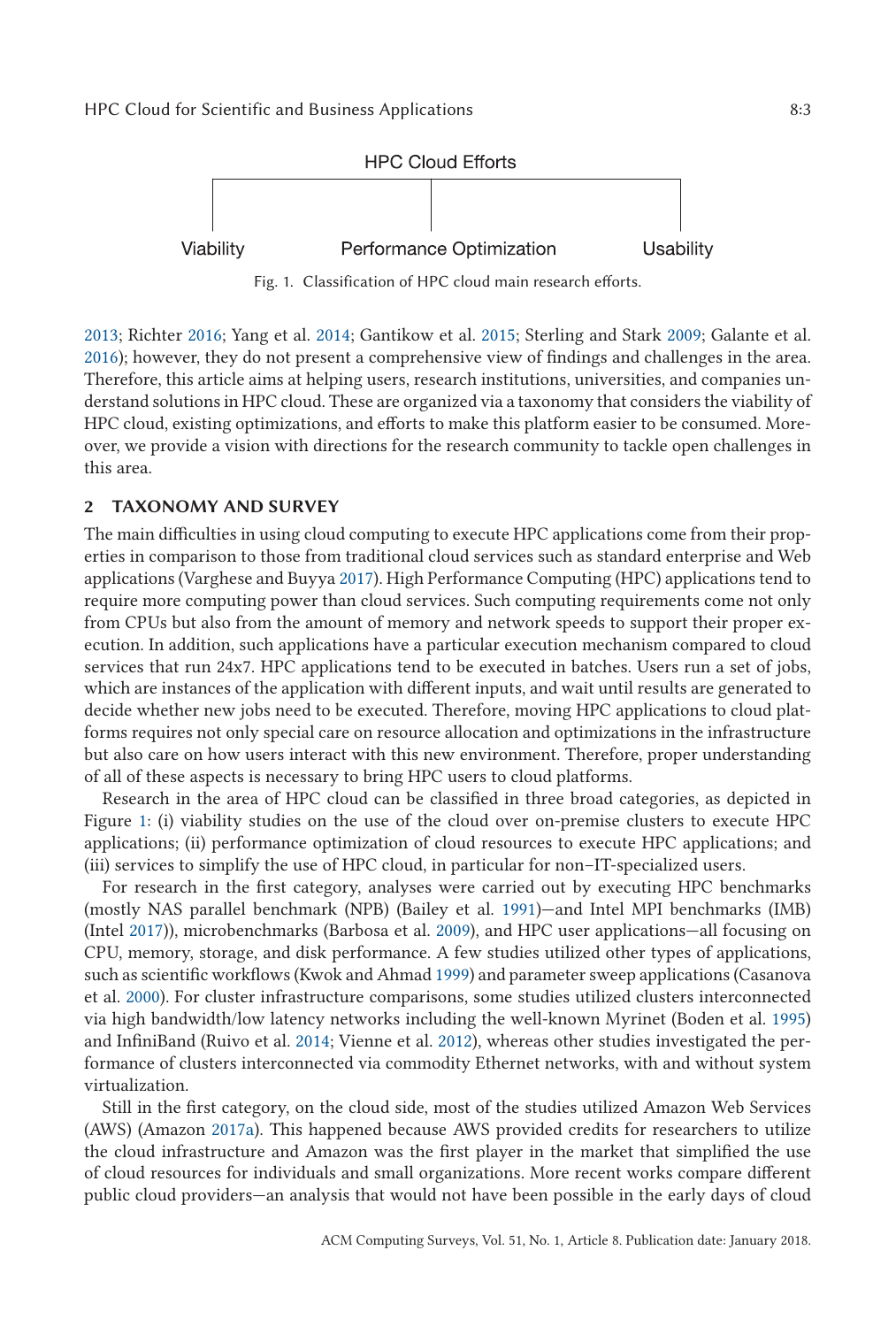<span id="page-2-0"></span>

Fig. 1. Classification of HPC cloud main research efforts.

[2013;](#page-26-0) Richter [2016;](#page-27-0) Yang et al. [2014;](#page-28-0) Gantikow et al. [2015;](#page-25-0) Sterling and Stark [2009;](#page-27-0) Galante et al. [2016\)](#page-25-0); however, they do not present a comprehensive view of findings and challenges in the area. Therefore, this article aims at helping users, research institutions, universities, and companies understand solutions in HPC cloud. These are organized via a taxonomy that considers the viability of HPC cloud, existing optimizations, and efforts to make this platform easier to be consumed. Moreover, we provide a vision with directions for the research community to tackle open challenges in this area.

# **2 TAXONOMY AND SURVEY**

The main difficulties in using cloud computing to execute HPC applications come from their properties in comparison to those from traditional cloud services such as standard enterprise and Web applications (Varghese and Buyya [2017\)](#page-27-0). High Performance Computing (HPC) applications tend to require more computing power than cloud services. Such computing requirements come not only from CPUs but also from the amount of memory and network speeds to support their proper execution. In addition, such applications have a particular execution mechanism compared to cloud services that run 24x7. HPC applications tend to be executed in batches. Users run a set of jobs, which are instances of the application with different inputs, and wait until results are generated to decide whether new jobs need to be executed. Therefore, moving HPC applications to cloud platforms requires not only special care on resource allocation and optimizations in the infrastructure but also care on how users interact with this new environment. Therefore, proper understanding of all of these aspects is necessary to bring HPC users to cloud platforms.

Research in the area of HPC cloud can be classified in three broad categories, as depicted in Figure 1: (i) viability studies on the use of the cloud over on-premise clusters to execute HPC applications; (ii) performance optimization of cloud resources to execute HPC applications; and (iii) services to simplify the use of HPC cloud, in particular for non–IT-specialized users.

For research in the first category, analyses were carried out by executing HPC benchmarks (mostly NAS parallel benchmark (NPB) (Bailey et al. [1991\)](#page-23-0)—and Intel MPI benchmarks (IMB) (Intel [2017\)](#page-25-0)), microbenchmarks (Barbosa et al. [2009\)](#page-23-0), and HPC user applications—all focusing on CPU, memory, storage, and disk performance. A few studies utilized other types of applications, such as scientific workflows (Kwok and Ahmad [1999\)](#page-26-0) and parameter sweep applications (Casanova et al. [2000\)](#page-24-0). For cluster infrastructure comparisons, some studies utilized clusters interconnected via high bandwidth/low latency networks including the well-known Myrinet (Boden et al. [1995\)](#page-23-0) and InfiniBand (Ruivo et al. [2014;](#page-27-0) Vienne et al. [2012\)](#page-27-0), whereas other studies investigated the performance of clusters interconnected via commodity Ethernet networks, with and without system virtualization.

Still in the first category, on the cloud side, most of the studies utilized Amazon Web Services (AWS) (Amazon [2017a\)](#page-23-0). This happened because AWS provided credits for researchers to utilize the cloud infrastructure and Amazon was the first player in the market that simplified the use of cloud resources for individuals and small organizations. More recent works compare different public cloud providers—an analysis that would not have been possible in the early days of cloud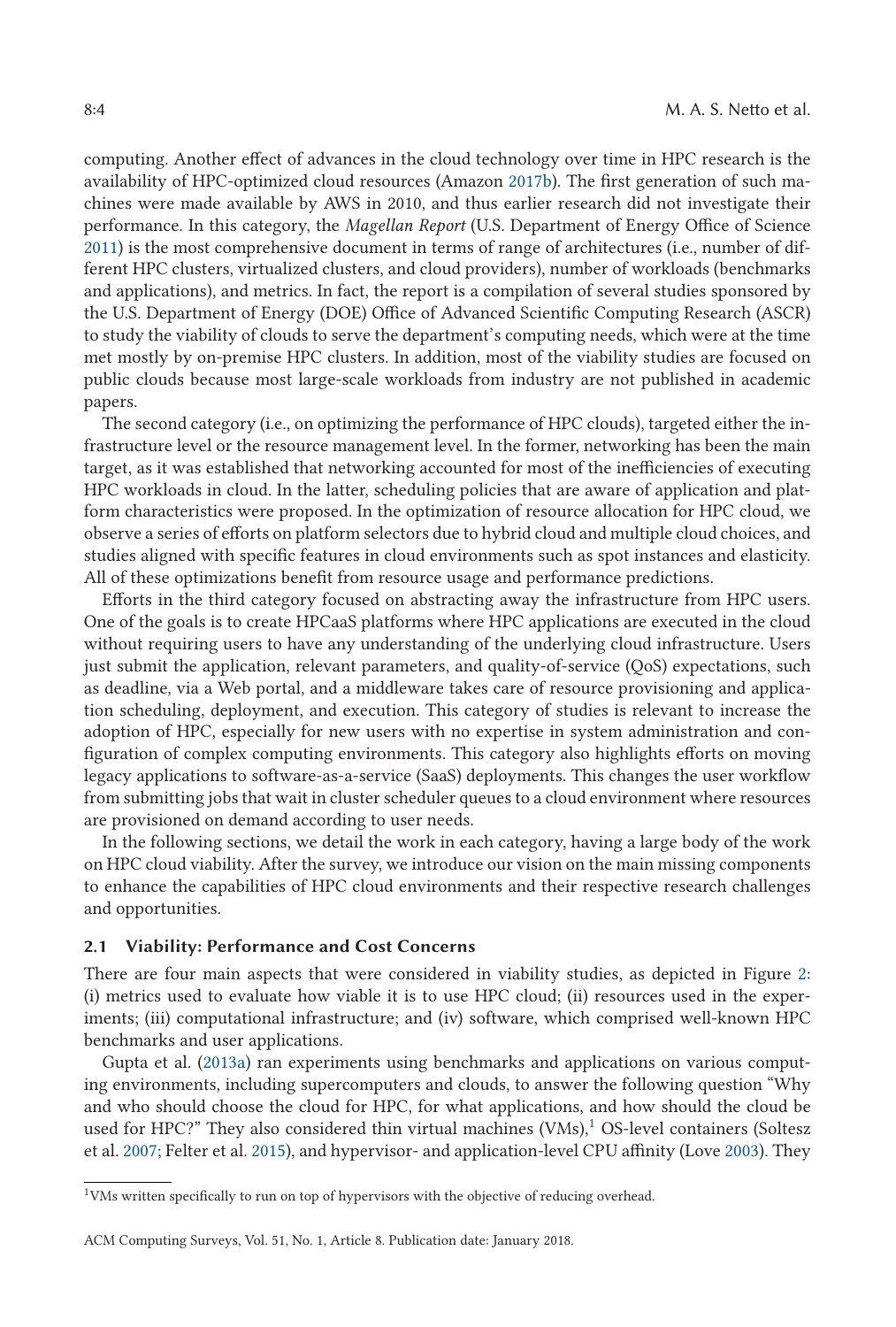computing. Another effect of advances in the cloud technology over time in HPC research is the availability of HPC-optimized cloud resources (Amazon [2017b\)](#page-23-0). The first generation of such machines were made available by AWS in 2010, and thus earlier research did not investigate their performance. In this category, the *Magellan Report* (U.S. Department of Energy Office of Science [2011\)](#page-27-0) is the most comprehensive document in terms of range of architectures (i.e., number of different HPC clusters, virtualized clusters, and cloud providers), number of workloads (benchmarks and applications), and metrics. In fact, the report is a compilation of several studies sponsored by the U.S. Department of Energy (DOE) Office of Advanced Scientific Computing Research (ASCR) to study the viability of clouds to serve the department's computing needs, which were at the time met mostly by on-premise HPC clusters. In addition, most of the viability studies are focused on public clouds because most large-scale workloads from industry are not published in academic papers.

The second category (i.e., on optimizing the performance of HPC clouds), targeted either the infrastructure level or the resource management level. In the former, networking has been the main target, as it was established that networking accounted for most of the inefficiencies of executing HPC workloads in cloud. In the latter, scheduling policies that are aware of application and platform characteristics were proposed. In the optimization of resource allocation for HPC cloud, we observe a series of efforts on platform selectors due to hybrid cloud and multiple cloud choices, and studies aligned with specific features in cloud environments such as spot instances and elasticity. All of these optimizations benefit from resource usage and performance predictions.

Efforts in the third category focused on abstracting away the infrastructure from HPC users. One of the goals is to create HPCaaS platforms where HPC applications are executed in the cloud without requiring users to have any understanding of the underlying cloud infrastructure. Users just submit the application, relevant parameters, and quality-of-service (QoS) expectations, such as deadline, via a Web portal, and a middleware takes care of resource provisioning and application scheduling, deployment, and execution. This category of studies is relevant to increase the adoption of HPC, especially for new users with no expertise in system administration and configuration of complex computing environments. This category also highlights efforts on moving legacy applications to software-as-a-service (SaaS) deployments. This changes the user workflow from submitting jobs that wait in cluster scheduler queues to a cloud environment where resources are provisioned on demand according to user needs.

In the following sections, we detail the work in each category, having a large body of the work on HPC cloud viability. After the survey, we introduce our vision on the main missing components to enhance the capabilities of HPC cloud environments and their respective research challenges and opportunities.

#### **2.1 Viability: Performance and Cost Concerns**

There are four main aspects that were considered in viability studies, as depicted in Figure [2:](#page-4-0) (i) metrics used to evaluate how viable it is to use HPC cloud; (ii) resources used in the experiments; (iii) computational infrastructure; and (iv) software, which comprised well-known HPC benchmarks and user applications.

Gupta et al. [\(2013a\)](#page-25-0) ran experiments using benchmarks and applications on various computing environments, including supercomputers and clouds, to answer the following question "Why and who should choose the cloud for HPC, for what applications, and how should the cloud be used for HPC?" They also considered thin virtual machines  $(VMs)$ ,<sup>1</sup> OS-level containers (Soltesz et al. [2007;](#page-27-0) Felter et al. [2015\)](#page-24-0), and hypervisor- and application-level CPU affinity (Love [2003\)](#page-26-0). They

<sup>&</sup>lt;sup>1</sup>VMs written specifically to run on top of hypervisors with the objective of reducing overhead.

ACM Computing Surveys, Vol. 51, No. 1, Article 8. Publication date: January 2018.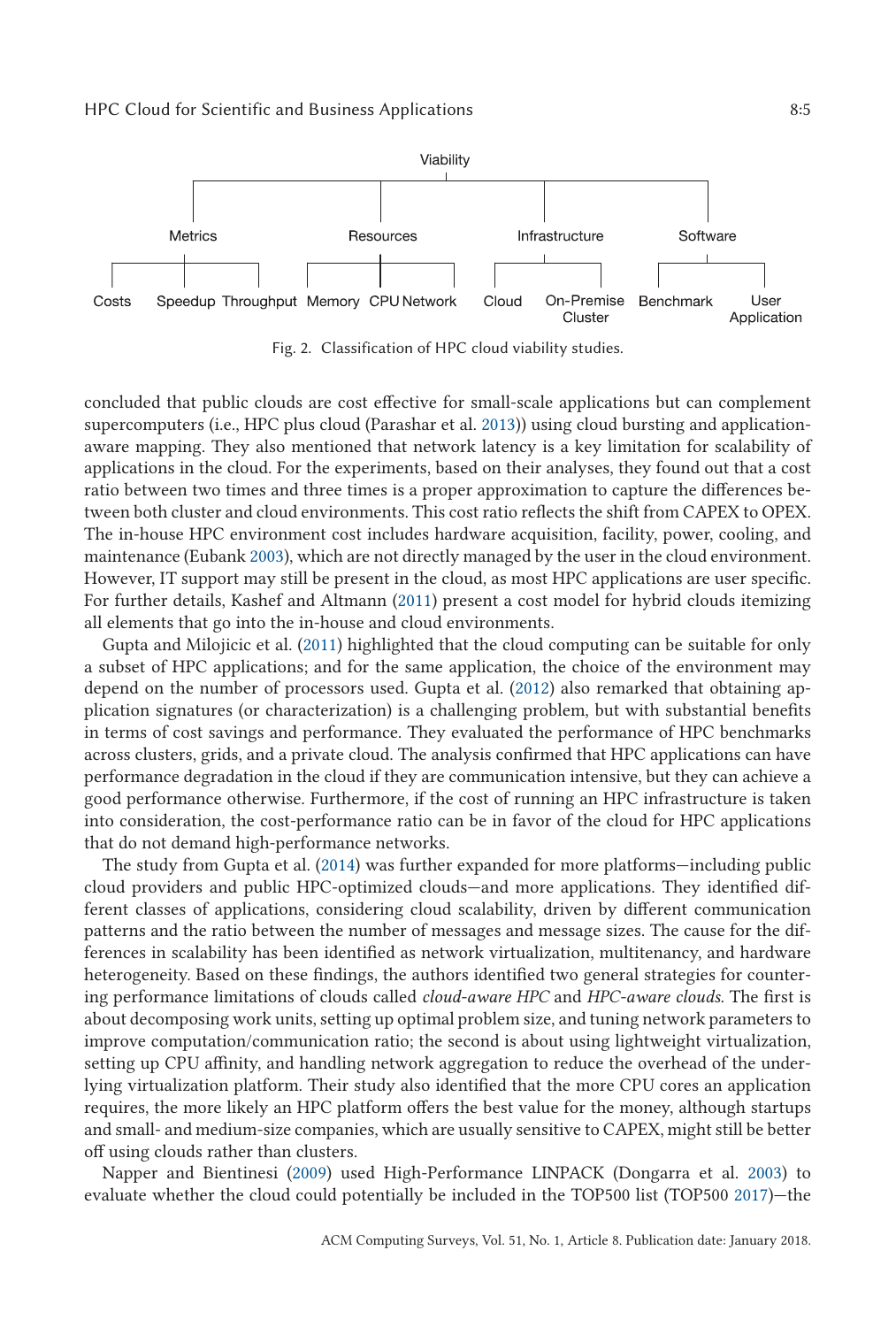<span id="page-4-0"></span>

Fig. 2. Classification of HPC cloud viability studies.

concluded that public clouds are cost effective for small-scale applications but can complement supercomputers (i.e., HPC plus cloud (Parashar et al. [2013\)](#page-27-0)) using cloud bursting and applicationaware mapping. They also mentioned that network latency is a key limitation for scalability of applications in the cloud. For the experiments, based on their analyses, they found out that a cost ratio between two times and three times is a proper approximation to capture the differences between both cluster and cloud environments. This cost ratio reflects the shift from CAPEX to OPEX. The in-house HPC environment cost includes hardware acquisition, facility, power, cooling, and maintenance (Eubank [2003\)](#page-24-0), which are not directly managed by the user in the cloud environment. However, IT support may still be present in the cloud, as most HPC applications are user specific. For further details, Kashef and Altmann [\(2011\)](#page-26-0) present a cost model for hybrid clouds itemizing all elements that go into the in-house and cloud environments.

Gupta and Milojicic et al. [\(2011\)](#page-25-0) highlighted that the cloud computing can be suitable for only a subset of HPC applications; and for the same application, the choice of the environment may depend on the number of processors used. Gupta et al. [\(2012\)](#page-25-0) also remarked that obtaining application signatures (or characterization) is a challenging problem, but with substantial benefits in terms of cost savings and performance. They evaluated the performance of HPC benchmarks across clusters, grids, and a private cloud. The analysis confirmed that HPC applications can have performance degradation in the cloud if they are communication intensive, but they can achieve a good performance otherwise. Furthermore, if the cost of running an HPC infrastructure is taken into consideration, the cost-performance ratio can be in favor of the cloud for HPC applications that do not demand high-performance networks.

The study from Gupta et al. [\(2014\)](#page-25-0) was further expanded for more platforms—including public cloud providers and public HPC-optimized clouds—and more applications. They identified different classes of applications, considering cloud scalability, driven by different communication patterns and the ratio between the number of messages and message sizes. The cause for the differences in scalability has been identified as network virtualization, multitenancy, and hardware heterogeneity. Based on these findings, the authors identified two general strategies for countering performance limitations of clouds called *cloud-aware HPC* and *HPC-aware clouds*. The first is about decomposing work units, setting up optimal problem size, and tuning network parameters to improve computation/communication ratio; the second is about using lightweight virtualization, setting up CPU affinity, and handling network aggregation to reduce the overhead of the underlying virtualization platform. Their study also identified that the more CPU cores an application requires, the more likely an HPC platform offers the best value for the money, although startups and small- and medium-size companies, which are usually sensitive to CAPEX, might still be better off using clouds rather than clusters.

Napper and Bientinesi [\(2009\)](#page-26-0) used High-Performance LINPACK (Dongarra et al. [2003\)](#page-24-0) to evaluate whether the cloud could potentially be included in the TOP500 list (TOP500 [2017\)](#page-27-0)—the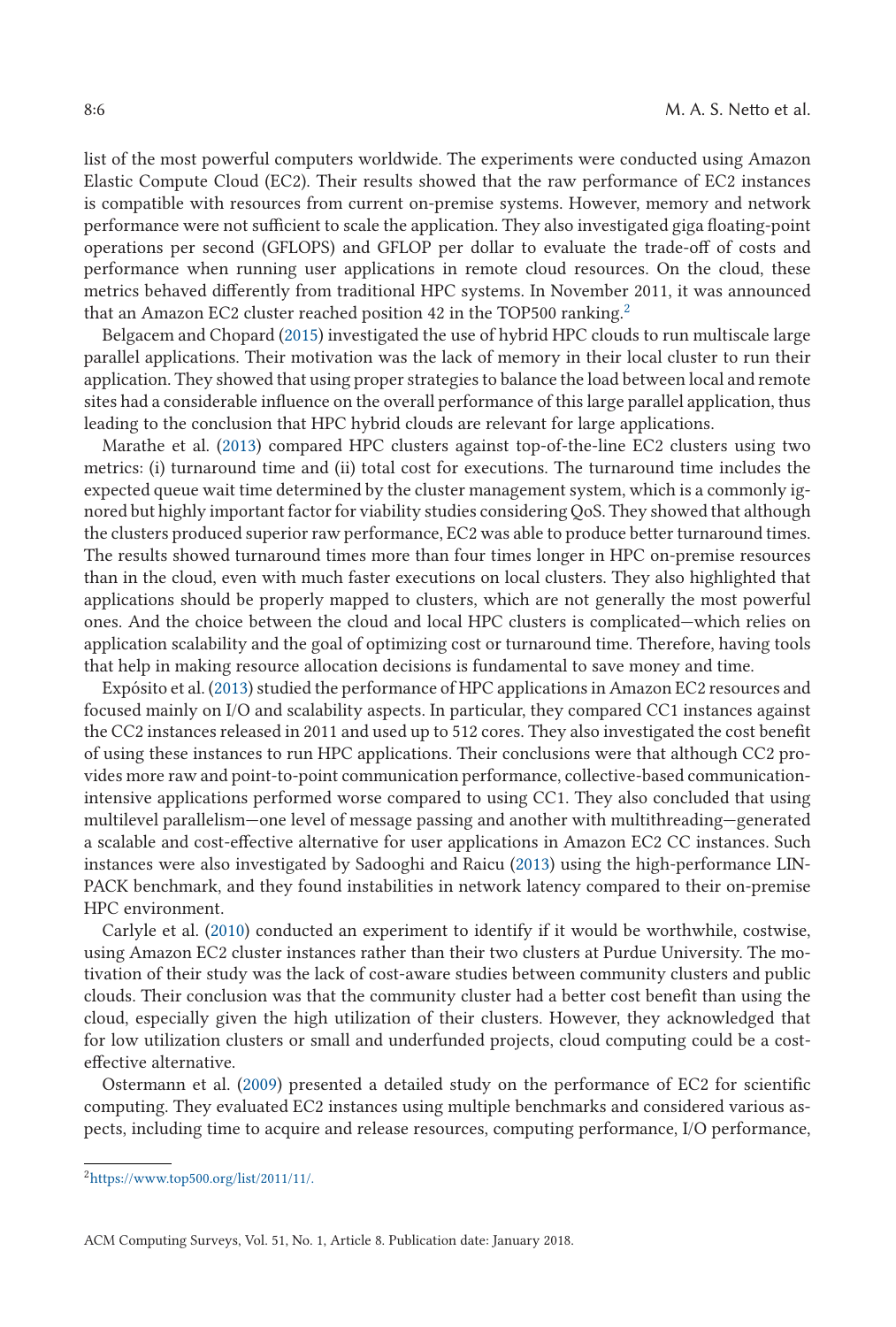list of the most powerful computers worldwide. The experiments were conducted using Amazon Elastic Compute Cloud (EC2). Their results showed that the raw performance of EC2 instances is compatible with resources from current on-premise systems. However, memory and network performance were not sufficient to scale the application. They also investigated giga floating-point operations per second (GFLOPS) and GFLOP per dollar to evaluate the trade-off of costs and performance when running user applications in remote cloud resources. On the cloud, these metrics behaved differently from traditional HPC systems. In November 2011, it was announced that an Amazon EC2 cluster reached position 42 in the TOP500 ranking.<sup>2</sup>

Belgacem and Chopard [\(2015\)](#page-23-0) investigated the use of hybrid HPC clouds to run multiscale large parallel applications. Their motivation was the lack of memory in their local cluster to run their application. They showed that using proper strategies to balance the load between local and remote sites had a considerable influence on the overall performance of this large parallel application, thus leading to the conclusion that HPC hybrid clouds are relevant for large applications.

Marathe et al. [\(2013\)](#page-26-0) compared HPC clusters against top-of-the-line EC2 clusters using two metrics: (i) turnaround time and (ii) total cost for executions. The turnaround time includes the expected queue wait time determined by the cluster management system, which is a commonly ignored but highly important factor for viability studies considering QoS. They showed that although the clusters produced superior raw performance, EC2 was able to produce better turnaround times. The results showed turnaround times more than four times longer in HPC on-premise resources than in the cloud, even with much faster executions on local clusters. They also highlighted that applications should be properly mapped to clusters, which are not generally the most powerful ones. And the choice between the cloud and local HPC clusters is complicated—which relies on application scalability and the goal of optimizing cost or turnaround time. Therefore, having tools that help in making resource allocation decisions is fundamental to save money and time.

Expósito et al. [\(2013\)](#page-24-0) studied the performance of HPC applications in Amazon EC2 resources and focused mainly on I/O and scalability aspects. In particular, they compared CC1 instances against the CC2 instances released in 2011 and used up to 512 cores. They also investigated the cost benefit of using these instances to run HPC applications. Their conclusions were that although CC2 provides more raw and point-to-point communication performance, collective-based communicationintensive applications performed worse compared to using CC1. They also concluded that using multilevel parallelism—one level of message passing and another with multithreading—generated a scalable and cost-effective alternative for user applications in Amazon EC2 CC instances. Such instances were also investigated by Sadooghi and Raicu [\(2013\)](#page-27-0) using the high-performance LIN-PACK benchmark, and they found instabilities in network latency compared to their on-premise HPC environment.

Carlyle et al. [\(2010\)](#page-24-0) conducted an experiment to identify if it would be worthwhile, costwise, using Amazon EC2 cluster instances rather than their two clusters at Purdue University. The motivation of their study was the lack of cost-aware studies between community clusters and public clouds. Their conclusion was that the community cluster had a better cost benefit than using the cloud, especially given the high utilization of their clusters. However, they acknowledged that for low utilization clusters or small and underfunded projects, cloud computing could be a costeffective alternative.

Ostermann et al. [\(2009\)](#page-27-0) presented a detailed study on the performance of EC2 for scientific computing. They evaluated EC2 instances using multiple benchmarks and considered various aspects, including time to acquire and release resources, computing performance, I/O performance,

[<sup>2</sup>https://www.top500.org/list/2011/11/.](https://www.top500.org/list/2011/11/.)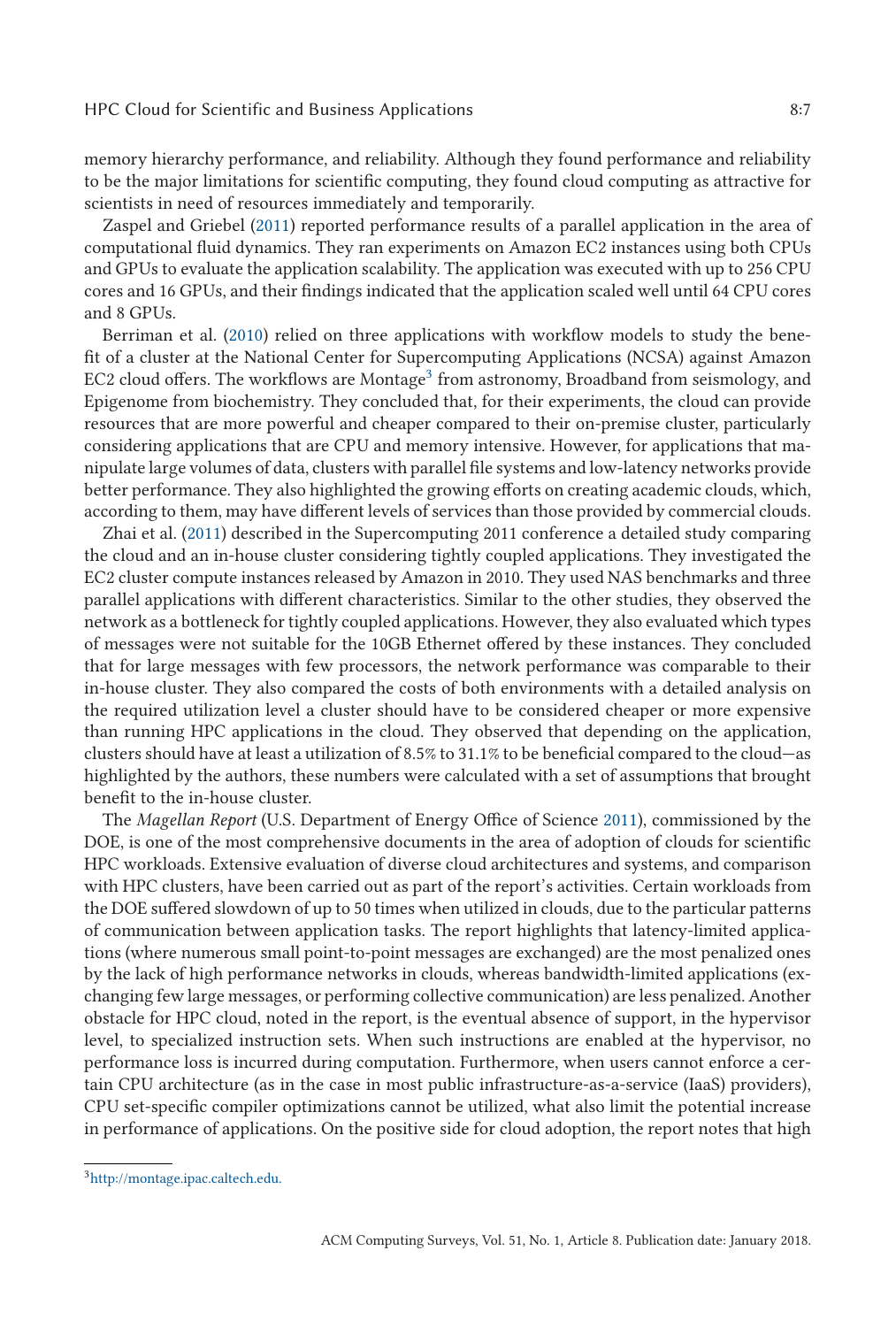memory hierarchy performance, and reliability. Although they found performance and reliability to be the major limitations for scientific computing, they found cloud computing as attractive for scientists in need of resources immediately and temporarily.

Zaspel and Griebel [\(2011\)](#page-28-0) reported performance results of a parallel application in the area of computational fluid dynamics. They ran experiments on Amazon EC2 instances using both CPUs and GPUs to evaluate the application scalability. The application was executed with up to 256 CPU cores and 16 GPUs, and their findings indicated that the application scaled well until 64 CPU cores and 8 GPUs.

Berriman et al. [\(2010\)](#page-23-0) relied on three applications with workflow models to study the benefit of a cluster at the National Center for Supercomputing Applications (NCSA) against Amazon EC2 cloud offers. The workflows are Montage<sup>3</sup> from astronomy, Broadband from seismology, and Epigenome from biochemistry. They concluded that, for their experiments, the cloud can provide resources that are more powerful and cheaper compared to their on-premise cluster, particularly considering applications that are CPU and memory intensive. However, for applications that manipulate large volumes of data, clusters with parallel file systems and low-latency networks provide better performance. They also highlighted the growing efforts on creating academic clouds, which, according to them, may have different levels of services than those provided by commercial clouds.

Zhai et al. [\(2011\)](#page-28-0) described in the Supercomputing 2011 conference a detailed study comparing the cloud and an in-house cluster considering tightly coupled applications. They investigated the EC2 cluster compute instances released by Amazon in 2010. They used NAS benchmarks and three parallel applications with different characteristics. Similar to the other studies, they observed the network as a bottleneck for tightly coupled applications. However, they also evaluated which types of messages were not suitable for the 10GB Ethernet offered by these instances. They concluded that for large messages with few processors, the network performance was comparable to their in-house cluster. They also compared the costs of both environments with a detailed analysis on the required utilization level a cluster should have to be considered cheaper or more expensive than running HPC applications in the cloud. They observed that depending on the application, clusters should have at least a utilization of 8.5% to 31.1% to be beneficial compared to the cloud—as highlighted by the authors, these numbers were calculated with a set of assumptions that brought benefit to the in-house cluster.

The *Magellan Report* (U.S. Department of Energy Office of Science [2011\)](#page-27-0), commissioned by the DOE, is one of the most comprehensive documents in the area of adoption of clouds for scientific HPC workloads. Extensive evaluation of diverse cloud architectures and systems, and comparison with HPC clusters, have been carried out as part of the report's activities. Certain workloads from the DOE suffered slowdown of up to 50 times when utilized in clouds, due to the particular patterns of communication between application tasks. The report highlights that latency-limited applications (where numerous small point-to-point messages are exchanged) are the most penalized ones by the lack of high performance networks in clouds, whereas bandwidth-limited applications (exchanging few large messages, or performing collective communication) are less penalized. Another obstacle for HPC cloud, noted in the report, is the eventual absence of support, in the hypervisor level, to specialized instruction sets. When such instructions are enabled at the hypervisor, no performance loss is incurred during computation. Furthermore, when users cannot enforce a certain CPU architecture (as in the case in most public infrastructure-as-a-service (IaaS) providers), CPU set-specific compiler optimizations cannot be utilized, what also limit the potential increase in performance of applications. On the positive side for cloud adoption, the report notes that high

[<sup>3</sup>http://montage.ipac.caltech.edu.](http://montage.ipac.caltech.edu.)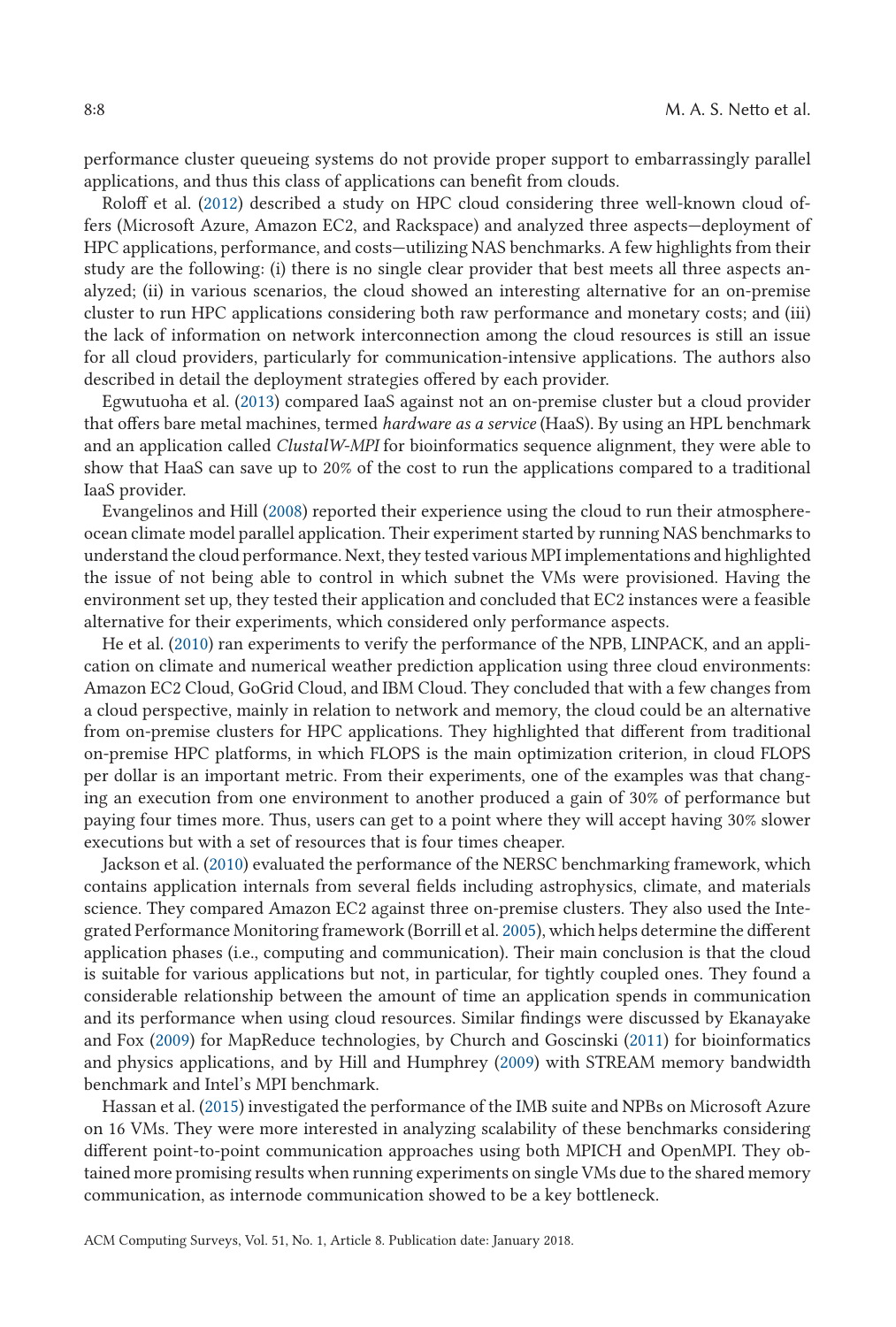performance cluster queueing systems do not provide proper support to embarrassingly parallel applications, and thus this class of applications can benefit from clouds.

Roloff et al. [\(2012\)](#page-27-0) described a study on HPC cloud considering three well-known cloud offers (Microsoft Azure, Amazon EC2, and Rackspace) and analyzed three aspects—deployment of HPC applications, performance, and costs—utilizing NAS benchmarks. A few highlights from their study are the following: (i) there is no single clear provider that best meets all three aspects analyzed; (ii) in various scenarios, the cloud showed an interesting alternative for an on-premise cluster to run HPC applications considering both raw performance and monetary costs; and (iii) the lack of information on network interconnection among the cloud resources is still an issue for all cloud providers, particularly for communication-intensive applications. The authors also described in detail the deployment strategies offered by each provider.

Egwutuoha et al. [\(2013\)](#page-24-0) compared IaaS against not an on-premise cluster but a cloud provider that offers bare metal machines, termed *hardware as a service* (HaaS). By using an HPL benchmark and an application called *ClustalW-MPI* for bioinformatics sequence alignment, they were able to show that HaaS can save up to 20% of the cost to run the applications compared to a traditional IaaS provider.

Evangelinos and Hill [\(2008\)](#page-24-0) reported their experience using the cloud to run their atmosphereocean climate model parallel application. Their experiment started by running NAS benchmarks to understand the cloud performance. Next, they tested various MPI implementations and highlighted the issue of not being able to control in which subnet the VMs were provisioned. Having the environment set up, they tested their application and concluded that EC2 instances were a feasible alternative for their experiments, which considered only performance aspects.

He et al. [\(2010\)](#page-25-0) ran experiments to verify the performance of the NPB, LINPACK, and an application on climate and numerical weather prediction application using three cloud environments: Amazon EC2 Cloud, GoGrid Cloud, and IBM Cloud. They concluded that with a few changes from a cloud perspective, mainly in relation to network and memory, the cloud could be an alternative from on-premise clusters for HPC applications. They highlighted that different from traditional on-premise HPC platforms, in which FLOPS is the main optimization criterion, in cloud FLOPS per dollar is an important metric. From their experiments, one of the examples was that changing an execution from one environment to another produced a gain of 30% of performance but paying four times more. Thus, users can get to a point where they will accept having 30% slower executions but with a set of resources that is four times cheaper.

Jackson et al. [\(2010\)](#page-26-0) evaluated the performance of the NERSC benchmarking framework, which contains application internals from several fields including astrophysics, climate, and materials science. They compared Amazon EC2 against three on-premise clusters. They also used the Integrated Performance Monitoring framework (Borrill et al. [2005\)](#page-23-0), which helps determine the different application phases (i.e., computing and communication). Their main conclusion is that the cloud is suitable for various applications but not, in particular, for tightly coupled ones. They found a considerable relationship between the amount of time an application spends in communication and its performance when using cloud resources. Similar findings were discussed by Ekanayake and Fox [\(2009\)](#page-24-0) for MapReduce technologies, by Church and Goscinski [\(2011\)](#page-24-0) for bioinformatics and physics applications, and by Hill and Humphrey [\(2009\)](#page-25-0) with STREAM memory bandwidth benchmark and Intel's MPI benchmark.

Hassan et al. [\(2015\)](#page-25-0) investigated the performance of the IMB suite and NPBs on Microsoft Azure on 16 VMs. They were more interested in analyzing scalability of these benchmarks considering different point-to-point communication approaches using both MPICH and OpenMPI. They obtained more promising results when running experiments on single VMs due to the shared memory communication, as internode communication showed to be a key bottleneck[.](#page-8-0)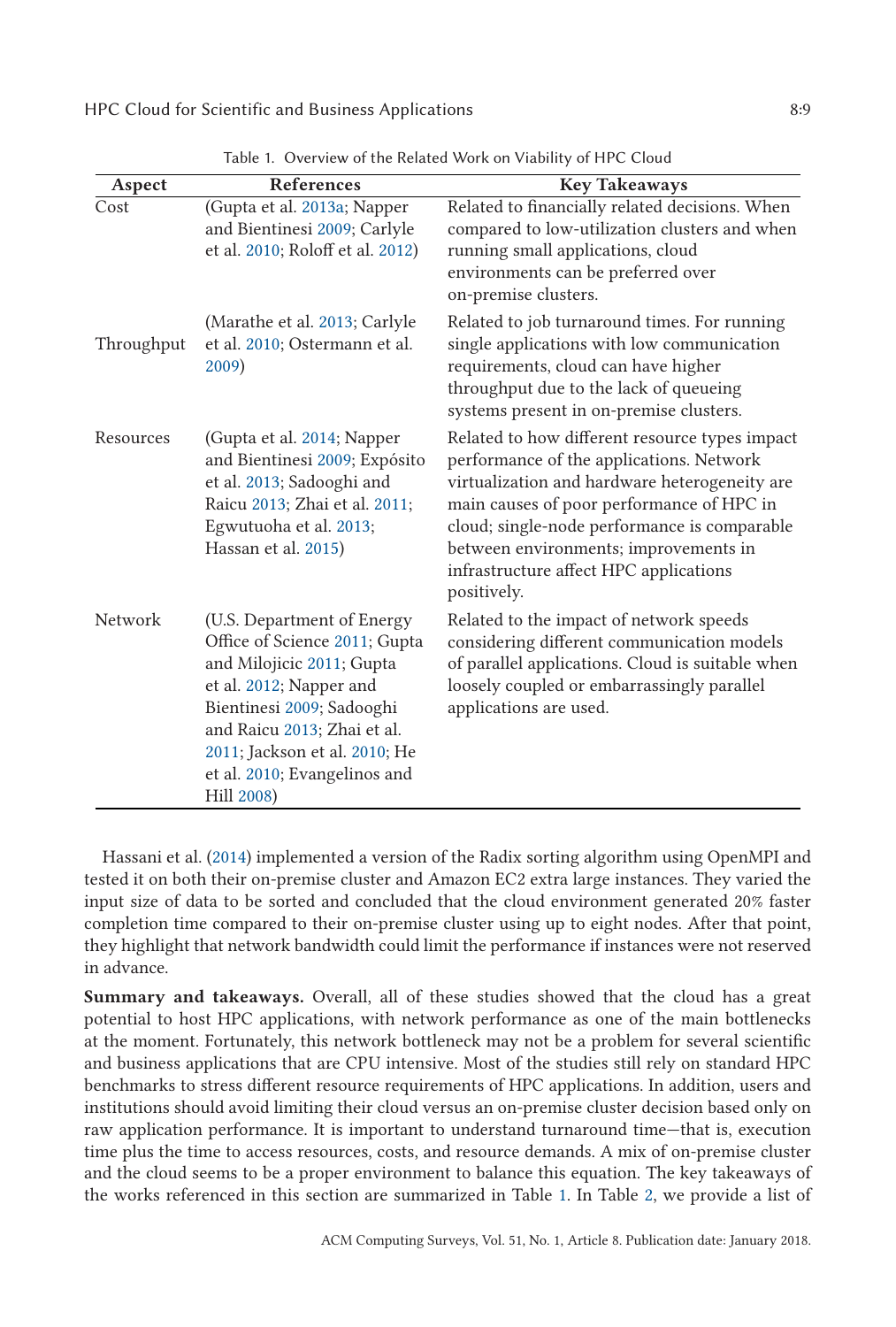<span id="page-8-0"></span>

| Aspect     | References                                                                                                                                                                                                                                                     | <b>Key Takeaways</b>                                                                                                                                                                                                                                                                                                                       |
|------------|----------------------------------------------------------------------------------------------------------------------------------------------------------------------------------------------------------------------------------------------------------------|--------------------------------------------------------------------------------------------------------------------------------------------------------------------------------------------------------------------------------------------------------------------------------------------------------------------------------------------|
| Cost       | (Gupta et al. 2013a; Napper<br>and Bientinesi 2009; Carlyle<br>et al. 2010; Roloff et al. 2012)                                                                                                                                                                | Related to financially related decisions. When<br>compared to low-utilization clusters and when<br>running small applications, cloud<br>environments can be preferred over<br>on-premise clusters.                                                                                                                                         |
| Throughput | (Marathe et al. 2013; Carlyle<br>et al. 2010; Ostermann et al.<br>2009)                                                                                                                                                                                        | Related to job turnaround times. For running<br>single applications with low communication<br>requirements, cloud can have higher<br>throughput due to the lack of queueing<br>systems present in on-premise clusters.                                                                                                                     |
| Resources  | (Gupta et al. 2014; Napper<br>and Bientinesi 2009; Expósito<br>et al. 2013; Sadooghi and<br>Raicu 2013; Zhai et al. 2011;<br>Egwutuoha et al. 2013;<br>Hassan et al. 2015)                                                                                     | Related to how different resource types impact<br>performance of the applications. Network<br>virtualization and hardware heterogeneity are<br>main causes of poor performance of HPC in<br>cloud; single-node performance is comparable<br>between environments; improvements in<br>infrastructure affect HPC applications<br>positively. |
| Network    | (U.S. Department of Energy<br>Office of Science 2011; Gupta<br>and Milojicic 2011; Gupta<br>et al. 2012; Napper and<br>Bientinesi 2009; Sadooghi<br>and Raicu 2013; Zhai et al.<br>2011; Jackson et al. 2010; He<br>et al. 2010; Evangelinos and<br>Hill 2008) | Related to the impact of network speeds<br>considering different communication models<br>of parallel applications. Cloud is suitable when<br>loosely coupled or embarrassingly parallel<br>applications are used.                                                                                                                          |

Table 1. Overview of the Related Work on Viability of HPC Cloud

Hassani et al. [\(2014\)](#page-25-0) implemented a version of the Radix sorting algorithm using OpenMPI and tested it on both their on-premise cluster and Amazon EC2 extra large instances. They varied the input size of data to be sorted and concluded that the cloud environment generated 20% faster completion time compared to their on-premise cluster using up to eight nodes. After that point, they highlight that network bandwidth could limit the performance if instances were not reserved in advance.

**Summary and takeaways.** Overall, all of these studies showed that the cloud has a great potential to host HPC applications, with network performance as one of the main bottlenecks at the moment. Fortunately, this network bottleneck may not be a problem for several scientific and business applications that are CPU intensive. Most of the studies still rely on standard HPC benchmarks to stress different resource requirements of HPC applications. In addition, users and institutions should avoid limiting their cloud versus an on-premise cluster decision based only on raw application performance. It is important to understand turnaround time—that is, execution time plus the time to access resources, costs, and resource demands. A mix of on-premise cluster and the cloud seems to be a proper environment to balance this equation. The key takeaways of the works referenced in this section are summarized in Table 1. In Table [2,](#page-9-0) we provide a list of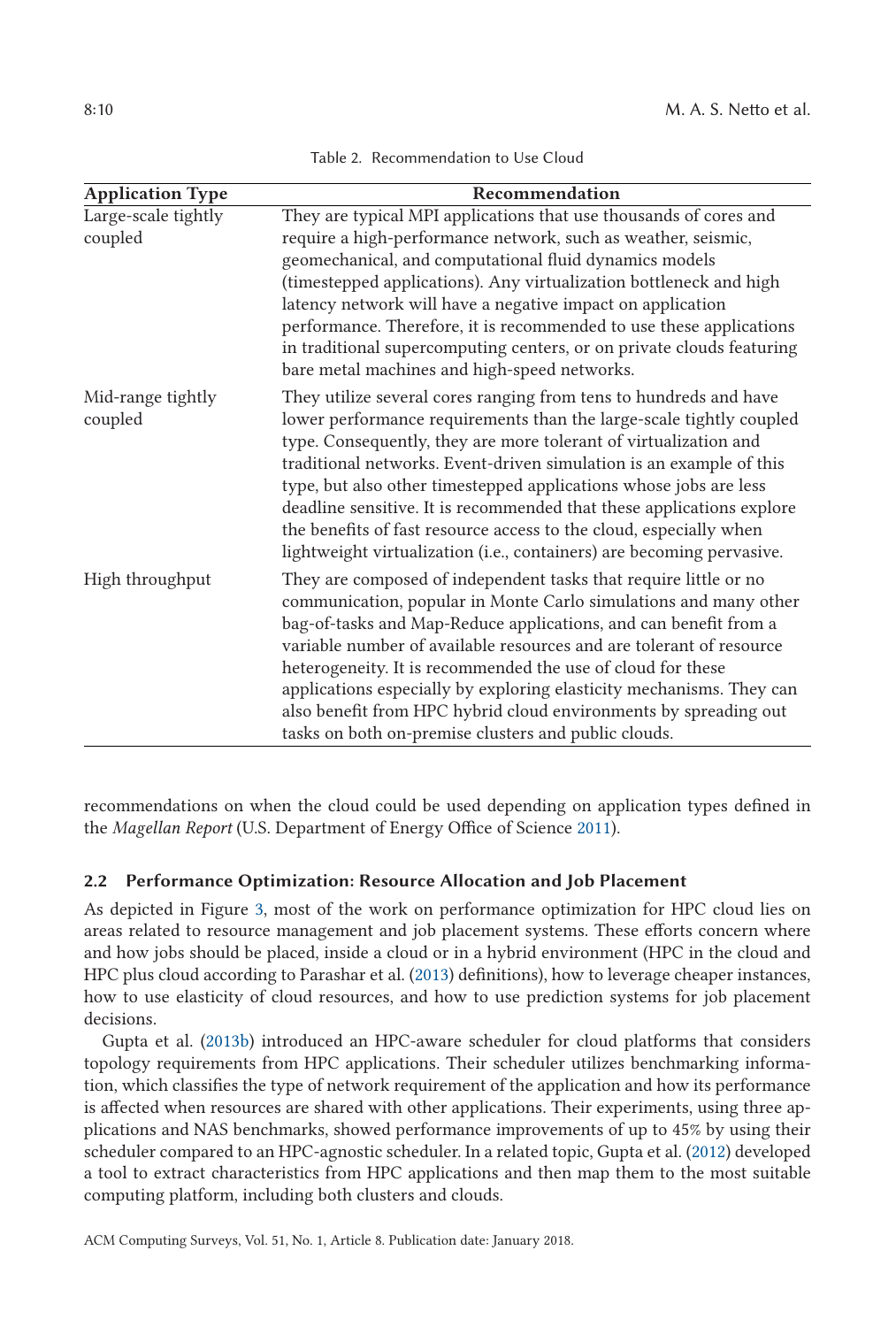<span id="page-9-0"></span>

| <b>Application Type</b>        | Recommendation                                                                                                                                                                                                                                                                                                                                                                                                                                                                                                                                                                   |  |
|--------------------------------|----------------------------------------------------------------------------------------------------------------------------------------------------------------------------------------------------------------------------------------------------------------------------------------------------------------------------------------------------------------------------------------------------------------------------------------------------------------------------------------------------------------------------------------------------------------------------------|--|
| Large-scale tightly<br>coupled | They are typical MPI applications that use thousands of cores and<br>require a high-performance network, such as weather, seismic,<br>geomechanical, and computational fluid dynamics models<br>(timestepped applications). Any virtualization bottleneck and high<br>latency network will have a negative impact on application<br>performance. Therefore, it is recommended to use these applications<br>in traditional supercomputing centers, or on private clouds featuring<br>bare metal machines and high-speed networks.                                                 |  |
| Mid-range tightly<br>coupled   | They utilize several cores ranging from tens to hundreds and have<br>lower performance requirements than the large-scale tightly coupled<br>type. Consequently, they are more tolerant of virtualization and<br>traditional networks. Event-driven simulation is an example of this<br>type, but also other timestepped applications whose jobs are less<br>deadline sensitive. It is recommended that these applications explore<br>the benefits of fast resource access to the cloud, especially when<br>lightweight virtualization (i.e., containers) are becoming pervasive. |  |
| High throughput                | They are composed of independent tasks that require little or no<br>communication, popular in Monte Carlo simulations and many other<br>bag-of-tasks and Map-Reduce applications, and can benefit from a<br>variable number of available resources and are tolerant of resource<br>heterogeneity. It is recommended the use of cloud for these<br>applications especially by exploring elasticity mechanisms. They can<br>also benefit from HPC hybrid cloud environments by spreading out<br>tasks on both on-premise clusters and public clouds.                               |  |

Table 2. Recommendation to Use Cloud

recommendations on when the cloud could be used depending on application types defined in the *Magellan Report* (U.S. Department of Energy Office of Science [2011\)](#page-27-0).

# **2.2 Performance Optimization: Resource Allocation and Job Placement**

As depicted in Figure [3,](#page-10-0) most of the work on performance optimization for HPC cloud lies on areas related to resource management and job placement systems. These efforts concern where and how jobs should be placed, inside a cloud or in a hybrid environment (HPC in the cloud and HPC plus cloud according to Parashar et al. [\(2013\)](#page-27-0) definitions), how to leverage cheaper instances, how to use elasticity of cloud resources, and how to use prediction systems for job placement decisions.

Gupta et al. [\(2013b\)](#page-25-0) introduced an HPC-aware scheduler for cloud platforms that considers topology requirements from HPC applications. Their scheduler utilizes benchmarking information, which classifies the type of network requirement of the application and how its performance is affected when resources are shared with other applications. Their experiments, using three applications and NAS benchmarks, showed performance improvements of up to 45% by using their scheduler compared to an HPC-agnostic scheduler. In a related topic, Gupta et al. [\(2012\)](#page-25-0) developed a tool to extract characteristics from HPC applications and then map them to the most suitable computing platform, including both clusters and clouds.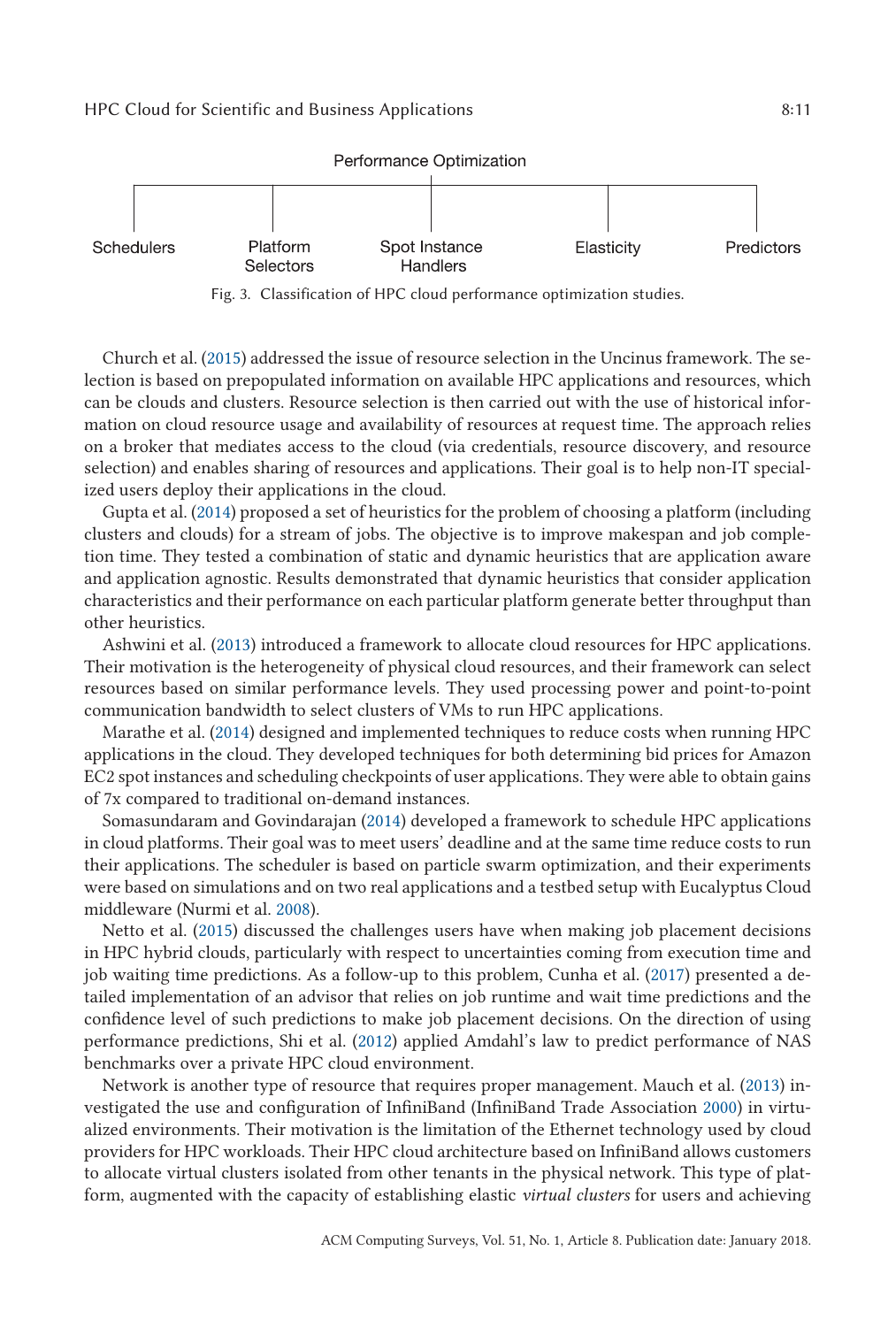<span id="page-10-0"></span>

Fig. 3. Classification of HPC cloud performance optimization studies.

Church et al. [\(2015\)](#page-24-0) addressed the issue of resource selection in the Uncinus framework. The selection is based on prepopulated information on available HPC applications and resources, which can be clouds and clusters. Resource selection is then carried out with the use of historical information on cloud resource usage and availability of resources at request time. The approach relies on a broker that mediates access to the cloud (via credentials, resource discovery, and resource selection) and enables sharing of resources and applications. Their goal is to help non-IT specialized users deploy their applications in the cloud.

Gupta et al. [\(2014\)](#page-25-0) proposed a set of heuristics for the problem of choosing a platform (including clusters and clouds) for a stream of jobs. The objective is to improve makespan and job completion time. They tested a combination of static and dynamic heuristics that are application aware and application agnostic. Results demonstrated that dynamic heuristics that consider application characteristics and their performance on each particular platform generate better throughput than other heuristics.

Ashwini et al. [\(2013\)](#page-23-0) introduced a framework to allocate cloud resources for HPC applications. Their motivation is the heterogeneity of physical cloud resources, and their framework can select resources based on similar performance levels. They used processing power and point-to-point communication bandwidth to select clusters of VMs to run HPC applications.

Marathe et al. [\(2014\)](#page-26-0) designed and implemented techniques to reduce costs when running HPC applications in the cloud. They developed techniques for both determining bid prices for Amazon EC2 spot instances and scheduling checkpoints of user applications. They were able to obtain gains of 7x compared to traditional on-demand instances.

Somasundaram and Govindarajan [\(2014\)](#page-27-0) developed a framework to schedule HPC applications in cloud platforms. Their goal was to meet users' deadline and at the same time reduce costs to run their applications. The scheduler is based on particle swarm optimization, and their experiments were based on simulations and on two real applications and a testbed setup with Eucalyptus Cloud middleware (Nurmi et al. [2008\)](#page-26-0).

Netto et al. [\(2015\)](#page-26-0) discussed the challenges users have when making job placement decisions in HPC hybrid clouds, particularly with respect to uncertainties coming from execution time and job waiting time predictions. As a follow-up to this problem, Cunha et al. [\(2017\)](#page-24-0) presented a detailed implementation of an advisor that relies on job runtime and wait time predictions and the confidence level of such predictions to make job placement decisions. On the direction of using performance predictions, Shi et al. [\(2012\)](#page-27-0) applied Amdahl's law to predict performance of NAS benchmarks over a private HPC cloud environment.

Network is another type of resource that requires proper management. Mauch et al. [\(2013\)](#page-26-0) investigated the use and configuration of InfiniBand (InfiniBand Trade Association [2000\)](#page-25-0) in virtualized environments. Their motivation is the limitation of the Ethernet technology used by cloud providers for HPC workloads. Their HPC cloud architecture based on InfiniBand allows customers to allocate virtual clusters isolated from other tenants in the physical network. This type of platform, augmented with the capacity of establishing elastic *virtual clusters* for users and achieving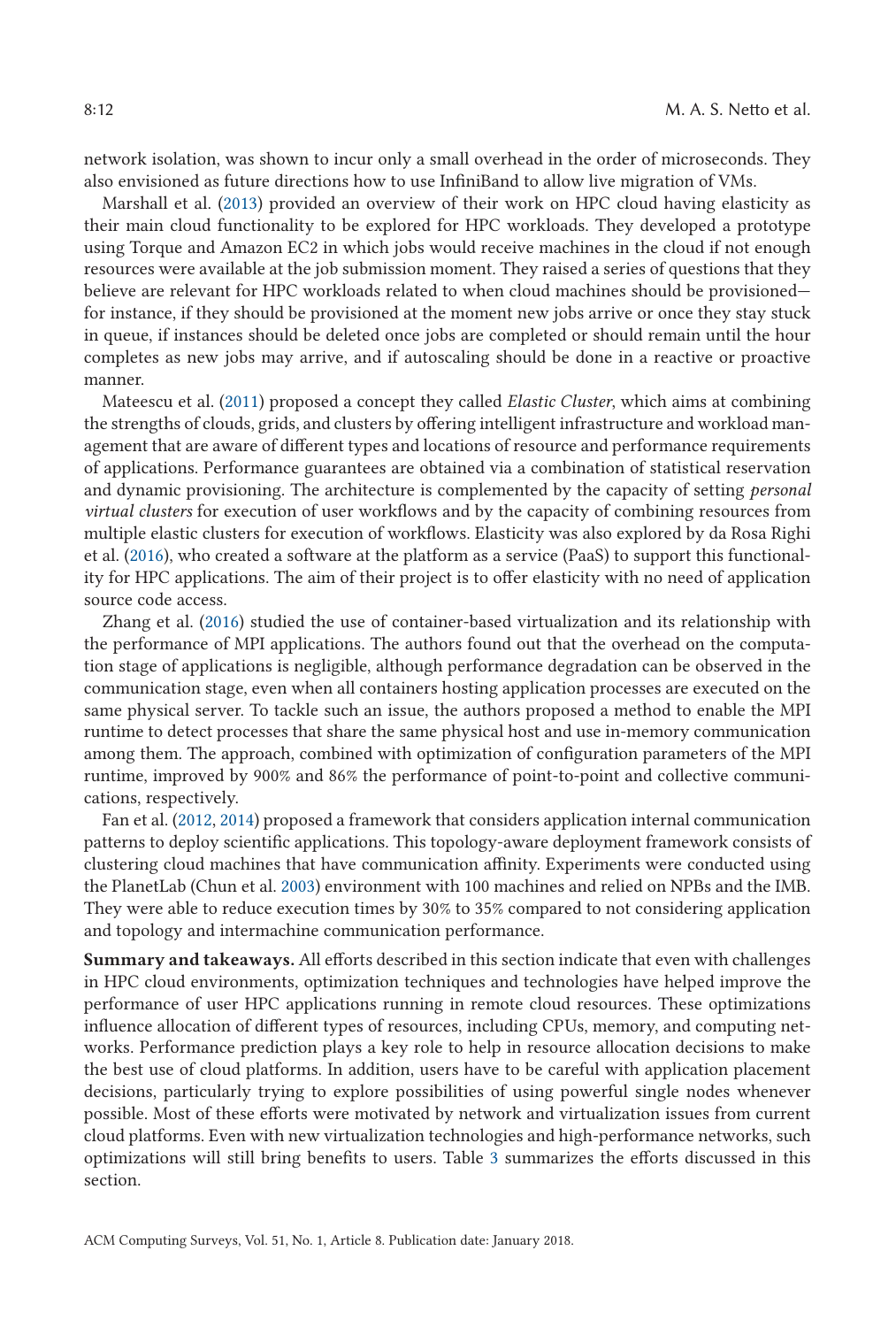network isolation, was shown to incur only a small overhead in the order of microseconds. They also envisioned as future directions how to use InfiniBand to allow live migration of VMs.

Marshall et al. [\(2013\)](#page-26-0) provided an overview of their work on HPC cloud having elasticity as their main cloud functionality to be explored for HPC workloads. They developed a prototype using Torque and Amazon EC2 in which jobs would receive machines in the cloud if not enough resources were available at the job submission moment. They raised a series of questions that they believe are relevant for HPC workloads related to when cloud machines should be provisioned for instance, if they should be provisioned at the moment new jobs arrive or once they stay stuck in queue, if instances should be deleted once jobs are completed or should remain until the hour completes as new jobs may arrive, and if autoscaling should be done in a reactive or proactive manner.

Mateescu et al. [\(2011\)](#page-26-0) proposed a concept they called *Elastic Cluster*, which aims at combining the strengths of clouds, grids, and clusters by offering intelligent infrastructure and workload management that are aware of different types and locations of resource and performance requirements of applications. Performance guarantees are obtained via a combination of statistical reservation and dynamic provisioning. The architecture is complemented by the capacity of setting *personal virtual clusters* for execution of user workflows and by the capacity of combining resources from multiple elastic clusters for execution of workflows. Elasticity was also explored by da Rosa Righi et al. [\(2016\)](#page-24-0), who created a software at the platform as a service (PaaS) to support this functionality for HPC applications. The aim of their project is to offer elasticity with no need of application source code access.

Zhang et al. [\(2016\)](#page-28-0) studied the use of container-based virtualization and its relationship with the performance of MPI applications. The authors found out that the overhead on the computation stage of applications is negligible, although performance degradation can be observed in the communication stage, even when all containers hosting application processes are executed on the same physical server. To tackle such an issue, the authors proposed a method to enable the MPI runtime to detect processes that share the same physical host and use in-memory communication among them. The approach, combined with optimization of configuration parameters of the MPI runtime, improved by 900% and 86% the performance of point-to-point and collective communications, respectively.

Fan et al. [\(2012,](#page-24-0) [2014\)](#page-24-0) proposed a framework that considers application internal communication patterns to deploy scientific applications. This topology-aware deployment framework consists of clustering cloud machines that have communication affinity. Experiments were conducted using the PlanetLab (Chun et al. [2003\)](#page-24-0) environment with 100 machines and relied on NPBs and the IMB. They were able to reduce execution times by 30% to 35% compared to not considering application and topology and intermachine communication performance.

**Summary and takeaways.** All efforts described in this section indicate that even with challenges in HPC cloud environments, optimization techniques and technologies have helped improve the performance of user HPC applications running in remote cloud resources. These optimizations influence allocation of different types of resources, including CPUs, memory, and computing networks. Performance prediction plays a key role to help in resource allocation decisions to make the best use of cloud platforms. In addition, users have to be careful with application placement decisions, particularly trying to explore possibilities of using powerful single nodes whenever possible. Most of these efforts were motivated by network and virtualization issues from current cloud platforms. Even with new virtualization technologies and high-performance networks, such optimizations will still bring benefits to users. Table [3](#page-12-0) summarizes the efforts discussed in this section.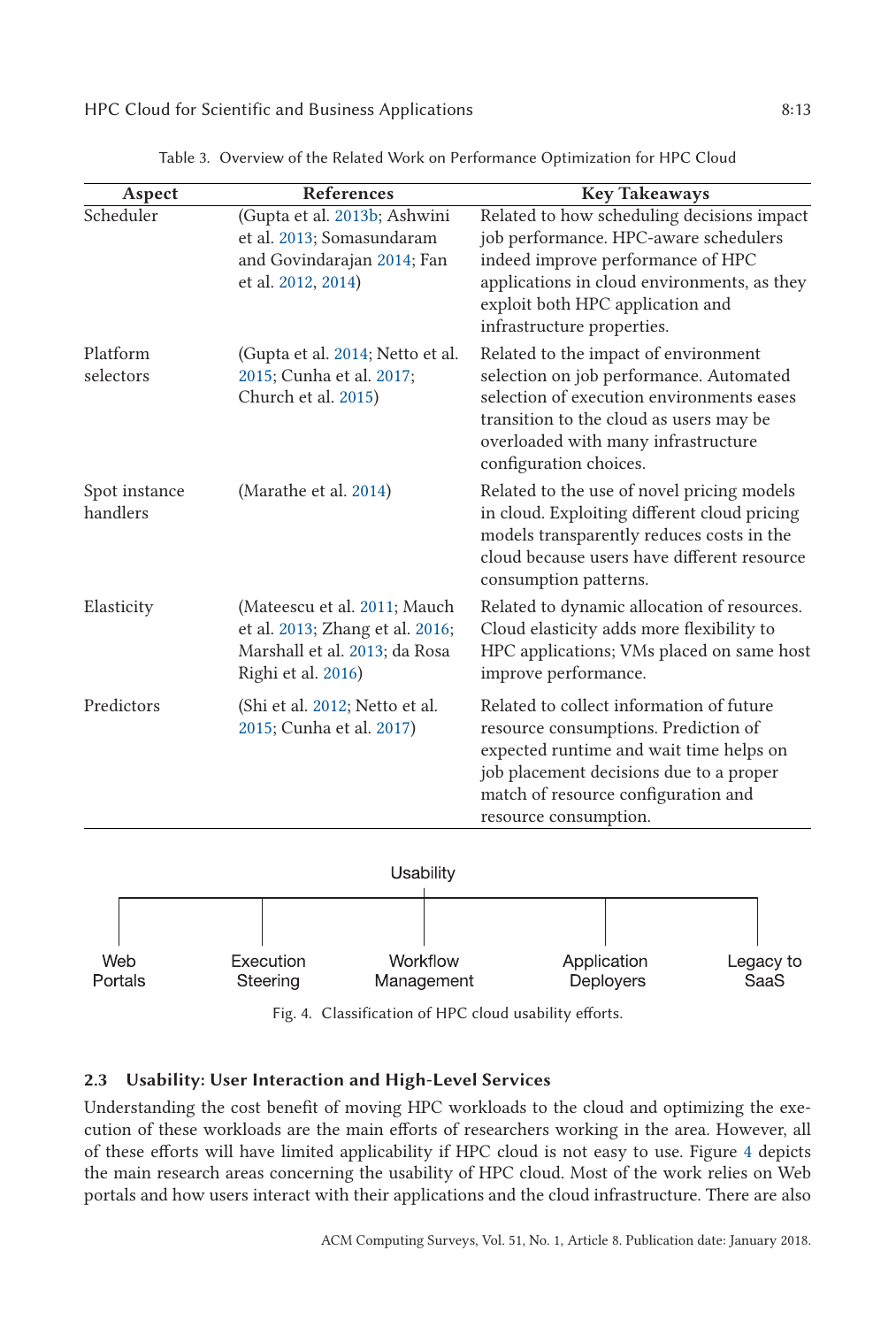<span id="page-12-0"></span>

| Aspect                    | References                                                                                                             | <b>Key Takeaways</b>                                                                                                                                                                                                                      |
|---------------------------|------------------------------------------------------------------------------------------------------------------------|-------------------------------------------------------------------------------------------------------------------------------------------------------------------------------------------------------------------------------------------|
| Scheduler                 | (Gupta et al. 2013b; Ashwini<br>et al. 2013; Somasundaram<br>and Govindarajan 2014; Fan<br>et al. 2012, 2014)          | Related to how scheduling decisions impact<br>job performance. HPC-aware schedulers<br>indeed improve performance of HPC<br>applications in cloud environments, as they<br>exploit both HPC application and<br>infrastructure properties. |
| Platform<br>selectors     | (Gupta et al. 2014; Netto et al.<br>2015; Cunha et al. 2017;<br>Church et al. 2015)                                    | Related to the impact of environment<br>selection on job performance. Automated<br>selection of execution environments eases<br>transition to the cloud as users may be<br>overloaded with many infrastructure<br>configuration choices.  |
| Spot instance<br>handlers | (Marathe et al. 2014)                                                                                                  | Related to the use of novel pricing models<br>in cloud. Exploiting different cloud pricing<br>models transparently reduces costs in the<br>cloud because users have different resource<br>consumption patterns.                           |
| Elasticity                | (Mateescu et al. 2011; Mauch<br>et al. 2013; Zhang et al. 2016;<br>Marshall et al. 2013; da Rosa<br>Righi et al. 2016) | Related to dynamic allocation of resources.<br>Cloud elasticity adds more flexibility to<br>HPC applications; VMs placed on same host<br>improve performance.                                                                             |
| Predictors                | (Shi et al. 2012; Netto et al.<br>2015; Cunha et al. 2017)                                                             | Related to collect information of future<br>resource consumptions. Prediction of<br>expected runtime and wait time helps on<br>job placement decisions due to a proper<br>match of resource configuration and<br>resource consumption.    |

Table 3. Overview of the Related Work on Performance Optimization for HPC Cloud



Fig. 4. Classification of HPC cloud usability efforts.

## **2.3 Usability: User Interaction and High-Level Services**

Understanding the cost benefit of moving HPC workloads to the cloud and optimizing the execution of these workloads are the main efforts of researchers working in the area. However, all of these efforts will have limited applicability if HPC cloud is not easy to use. Figure 4 depicts the main research areas concerning the usability of HPC cloud. Most of the work relies on Web portals and how users interact with their applications and the cloud infrastructure. There are also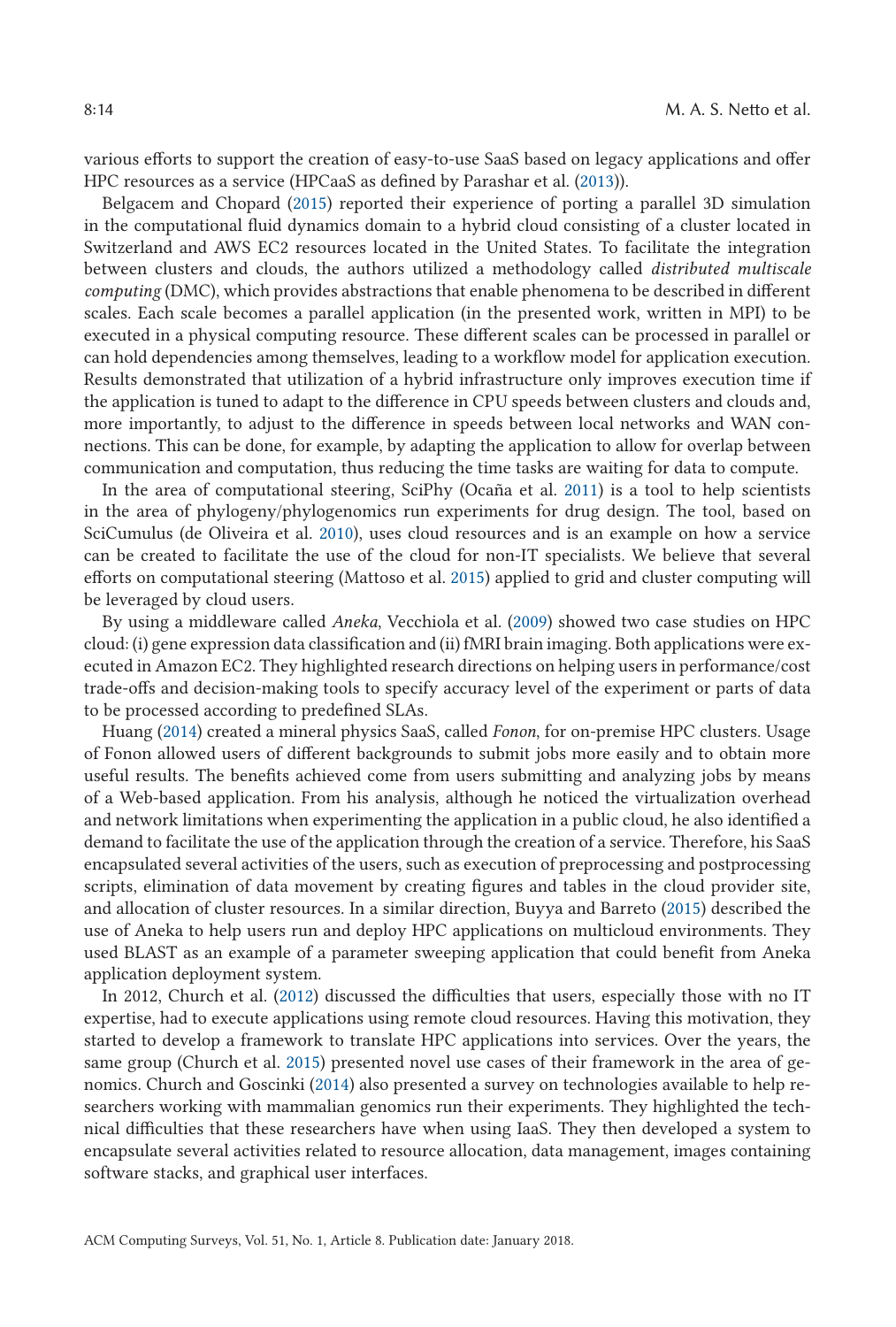various efforts to support the creation of easy-to-use SaaS based on legacy applications and offer HPC resources as a service (HPCaaS as defined by Parashar et al. [\(2013\)](#page-27-0)).

Belgacem and Chopard [\(2015\)](#page-23-0) reported their experience of porting a parallel 3D simulation in the computational fluid dynamics domain to a hybrid cloud consisting of a cluster located in Switzerland and AWS EC2 resources located in the United States. To facilitate the integration between clusters and clouds, the authors utilized a methodology called *distributed multiscale computing* (DMC), which provides abstractions that enable phenomena to be described in different scales. Each scale becomes a parallel application (in the presented work, written in MPI) to be executed in a physical computing resource. These different scales can be processed in parallel or can hold dependencies among themselves, leading to a workflow model for application execution. Results demonstrated that utilization of a hybrid infrastructure only improves execution time if the application is tuned to adapt to the difference in CPU speeds between clusters and clouds and, more importantly, to adjust to the difference in speeds between local networks and WAN connections. This can be done, for example, by adapting the application to allow for overlap between communication and computation, thus reducing the time tasks are waiting for data to compute.

In the area of computational steering, SciPhy (Ocaña et al. [2011\)](#page-26-0) is a tool to help scientists in the area of phylogeny/phylogenomics run experiments for drug design. The tool, based on SciCumulus (de Oliveira et al. [2010\)](#page-24-0), uses cloud resources and is an example on how a service can be created to facilitate the use of the cloud for non-IT specialists. We believe that several efforts on computational steering (Mattoso et al. [2015\)](#page-26-0) applied to grid and cluster computing will be leveraged by cloud users.

By using a middleware called *Aneka*, Vecchiola et al. [\(2009\)](#page-27-0) showed two case studies on HPC cloud: (i) gene expression data classification and (ii) fMRI brain imaging. Both applications were executed in Amazon EC2. They highlighted research directions on helping users in performance/cost trade-offs and decision-making tools to specify accuracy level of the experiment or parts of data to be processed according to predefined SLAs.

Huang [\(2014\)](#page-25-0) created a mineral physics SaaS, called *Fonon*, for on-premise HPC clusters. Usage of Fonon allowed users of different backgrounds to submit jobs more easily and to obtain more useful results. The benefits achieved come from users submitting and analyzing jobs by means of a Web-based application. From his analysis, although he noticed the virtualization overhead and network limitations when experimenting the application in a public cloud, he also identified a demand to facilitate the use of the application through the creation of a service. Therefore, his SaaS encapsulated several activities of the users, such as execution of preprocessing and postprocessing scripts, elimination of data movement by creating figures and tables in the cloud provider site, and allocation of cluster resources. In a similar direction, Buyya and Barreto [\(2015\)](#page-23-0) described the use of Aneka to help users run and deploy HPC applications on multicloud environments. They used BLAST as an example of a parameter sweeping application that could benefit from Aneka application deployment system.

In 2012, Church et al. [\(2012\)](#page-24-0) discussed the difficulties that users, especially those with no IT expertise, had to execute applications using remote cloud resources. Having this motivation, they started to develop a framework to translate HPC applications into services. Over the years, the same group (Church et al. [2015\)](#page-24-0) presented novel use cases of their framework in the area of genomics. Church and Goscinki [\(2014\)](#page-24-0) also presented a survey on technologies available to help researchers working with mammalian genomics run their experiments. They highlighted the technical difficulties that these researchers have when using IaaS. They then developed a system to encapsulate several activities related to resource allocation, data management, images containing software stacks, and graphical user interfaces.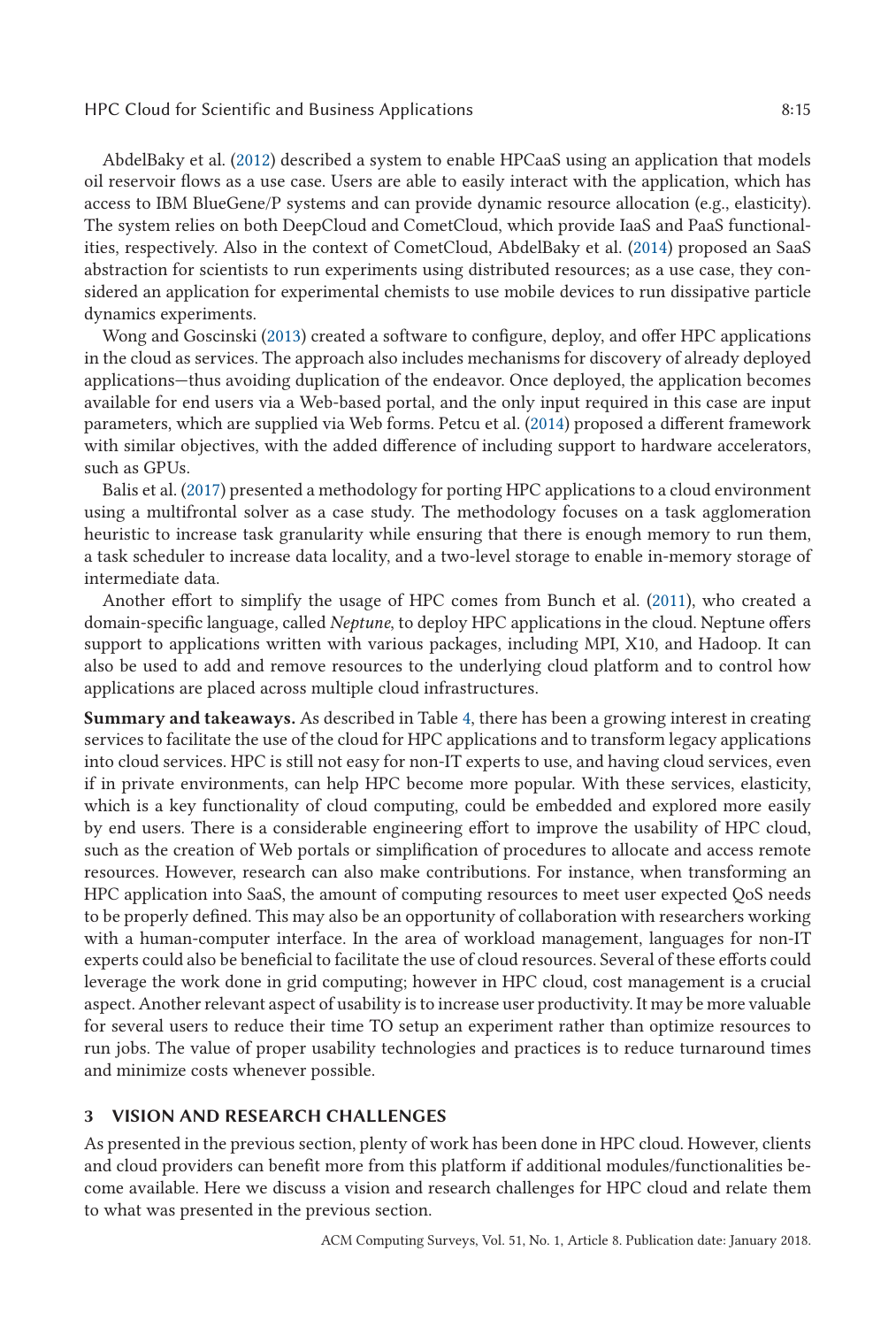#### HPC Cloud for Scientific and Business Applications 8:15

AbdelBaky et al. [\(2012\)](#page-23-0) described a system to enable HPCaaS using an application that models oil reservoir flows as a use case. Users are able to easily interact with the application, which has access to IBM BlueGene/P systems and can provide dynamic resource allocation (e.g., elasticity). The system relies on both DeepCloud and CometCloud, which provide IaaS and PaaS functionalities, respectively. Also in the context of CometCloud, AbdelBaky et al. [\(2014\)](#page-23-0) proposed an SaaS abstraction for scientists to run experiments using distributed resources; as a use case, they considered an application for experimental chemists to use mobile devices to run dissipative particle dynamics experiments.

Wong and Goscinski [\(2013\)](#page-27-0) created a software to configure, deploy, and offer HPC applications in the cloud as services. The approach also includes mechanisms for discovery of already deployed applications—thus avoiding duplication of the endeavor. Once deployed, the application becomes available for end users via a Web-based portal, and the only input required in this case are input parameters, which are supplied via Web forms. Petcu et al. [\(2014\)](#page-27-0) proposed a different framework with similar objectives, with the added difference of including support to hardware accelerators, such as GPUs.

Balis et al. [\(2017\)](#page-23-0) presented a methodology for porting HPC applications to a cloud environment using a multifrontal solver as a case study. The methodology focuses on a task agglomeration heuristic to increase task granularity while ensuring that there is enough memory to run them, a task scheduler to increase data locality, and a two-level storage to enable in-memory storage of intermediate data.

Another effort to simplify the usage of HPC comes from Bunch et al. [\(2011\)](#page-23-0), who created a domain-specific language, called *Neptune*, to deploy HPC applications in the cloud. Neptune offers support to applications written with various packages, including MPI, X10, and Hadoop. It can also be used to add and remove resources to the underlying cloud platform and to control how applications are placed across multiple cloud infrastructures.

**Summary and takeaways.** As described in Table [4,](#page-15-0) there has been a growing interest in creating services to facilitate the use of the cloud for HPC applications and to transform legacy applications into cloud services. HPC is still not easy for non-IT experts to use, and having cloud services, even if in private environments, can help HPC become more popular. With these services, elasticity, which is a key functionality of cloud computing, could be embedded and explored more easily by end users. There is a considerable engineering effort to improve the usability of HPC cloud, such as the creation of Web portals or simplification of procedures to allocate and access remote resources. However, research can also make contributions. For instance, when transforming an HPC application into SaaS, the amount of computing resources to meet user expected QoS needs to be properly defined. This may also be an opportunity of collaboration with researchers working with a human-computer interface. In the area of workload management, languages for non-IT experts could also be beneficial to facilitate the use of cloud resources. Several of these efforts could leverage the work done in grid computing; however in HPC cloud, cost management is a crucial aspect. Another relevant aspect of usability is to increase user productivity. It may be more valuable for several users to reduce their time TO setup an experiment rather than optimize resources to run jobs. The value of proper usability technologies and practices is to reduce turnaround times and minimize costs whenever possible.

## **3 VISION AND RESEARCH CHALLENGES**

As presented in the previous section, plenty of work has been done in HPC cloud. However, clients and cloud providers can benefit more from this platform if additional modules/functionalities become available. Here we discuss a vision and research challenges for HPC cloud and relate them to what was presented in the previous section.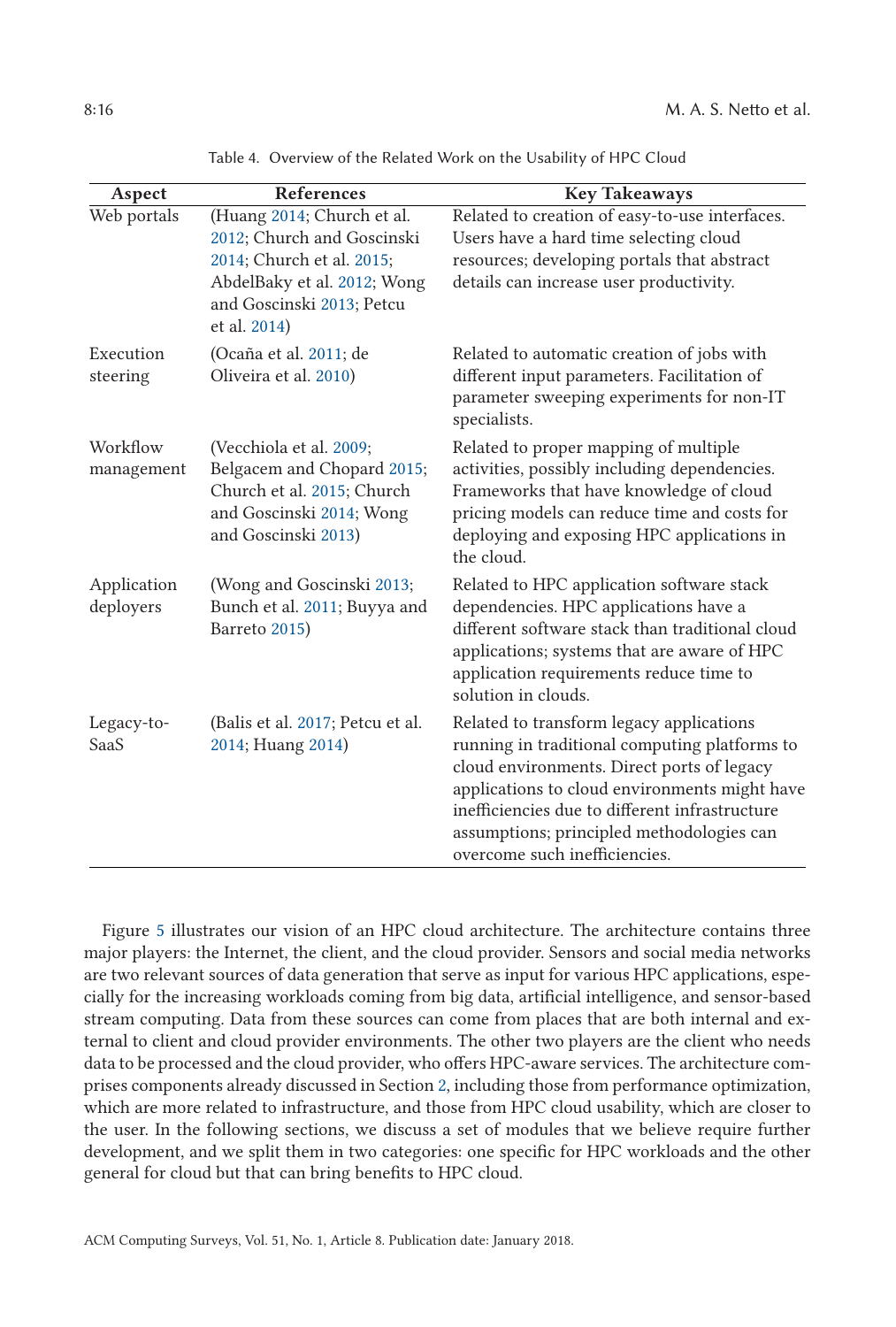<span id="page-15-0"></span>

| Aspect                   | <b>References</b>                                                                                                                                                 | <b>Key Takeaways</b>                                                                                                                                                                                                                                                                                                     |
|--------------------------|-------------------------------------------------------------------------------------------------------------------------------------------------------------------|--------------------------------------------------------------------------------------------------------------------------------------------------------------------------------------------------------------------------------------------------------------------------------------------------------------------------|
| Web portals              | (Huang 2014; Church et al.<br>2012; Church and Goscinski<br>2014; Church et al. 2015;<br>AbdelBaky et al. 2012; Wong<br>and Goscinski 2013; Petcu<br>et al. 2014) | Related to creation of easy-to-use interfaces.<br>Users have a hard time selecting cloud<br>resources; developing portals that abstract<br>details can increase user productivity.                                                                                                                                       |
| Execution<br>steering    | (Ocaña et al. 2011; de<br>Oliveira et al. 2010)                                                                                                                   | Related to automatic creation of jobs with<br>different input parameters. Facilitation of<br>parameter sweeping experiments for non-IT<br>specialists.                                                                                                                                                                   |
| Workflow<br>management   | (Vecchiola et al. 2009;<br>Belgacem and Chopard 2015;<br>Church et al. 2015; Church<br>and Goscinski 2014; Wong<br>and Goscinski 2013)                            | Related to proper mapping of multiple<br>activities, possibly including dependencies.<br>Frameworks that have knowledge of cloud<br>pricing models can reduce time and costs for<br>deploying and exposing HPC applications in<br>the cloud.                                                                             |
| Application<br>deployers | (Wong and Goscinski 2013;<br>Bunch et al. 2011; Buyya and<br>Barreto 2015)                                                                                        | Related to HPC application software stack<br>dependencies. HPC applications have a<br>different software stack than traditional cloud<br>applications; systems that are aware of HPC<br>application requirements reduce time to<br>solution in clouds.                                                                   |
| Legacy-to-<br>SaaS       | (Balis et al. 2017; Petcu et al.<br>2014; Huang 2014)                                                                                                             | Related to transform legacy applications<br>running in traditional computing platforms to<br>cloud environments. Direct ports of legacy<br>applications to cloud environments might have<br>inefficiencies due to different infrastructure<br>assumptions; principled methodologies can<br>overcome such inefficiencies. |

Table 4. Overview of the Related Work on the Usability of HPC Cloud

Figure [5](#page-16-0) illustrates our vision of an HPC cloud architecture. The architecture contains three major players: the Internet, the client, and the cloud provider. Sensors and social media networks are two relevant sources of data generation that serve as input for various HPC applications, especially for the increasing workloads coming from big data, artificial intelligence, and sensor-based stream computing. Data from these sources can come from places that are both internal and external to client and cloud provider environments. The other two players are the client who needs data to be processed and the cloud provider, who offers HPC-aware services. The architecture comprises components already discussed in Section [2,](#page-2-0) including those from performance optimization, which are more related to infrastructure, and those from HPC cloud usability, which are closer to the user. In the following sections, we discuss a set of modules that we believe require further development, and we split them in two categories: one specific for HPC workloads and the other general for cloud but that can bring benefits to HPC cloud.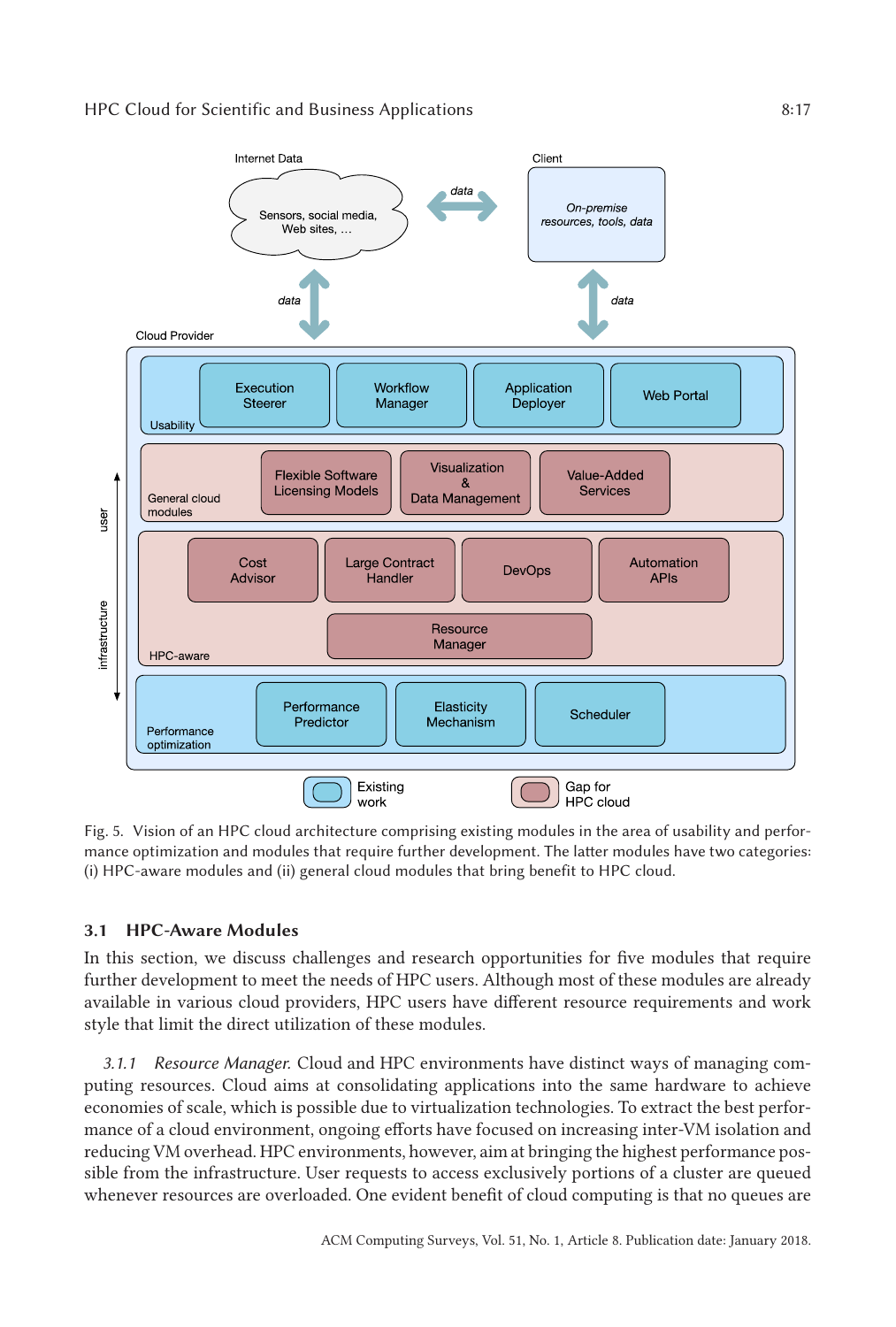# <span id="page-16-0"></span>HPC Cloud for Scientific and Business Applications 8:17



Fig. 5. Vision of an HPC cloud architecture comprising existing modules in the area of usability and performance optimization and modules that require further development. The latter modules have two categories: (i) HPC-aware modules and (ii) general cloud modules that bring benefit to HPC cloud.

# **3.1 HPC-Aware Modules**

In this section, we discuss challenges and research opportunities for five modules that require further development to meet the needs of HPC users. Although most of these modules are already available in various cloud providers, HPC users have different resource requirements and work style that limit the direct utilization of these modules.

*3.1.1 Resource Manager.* Cloud and HPC environments have distinct ways of managing computing resources. Cloud aims at consolidating applications into the same hardware to achieve economies of scale, which is possible due to virtualization technologies. To extract the best performance of a cloud environment, ongoing efforts have focused on increasing inter-VM isolation and reducing VM overhead. HPC environments, however, aim at bringing the highest performance possible from the infrastructure. User requests to access exclusively portions of a cluster are queued whenever resources are overloaded. One evident benefit of cloud computing is that no queues are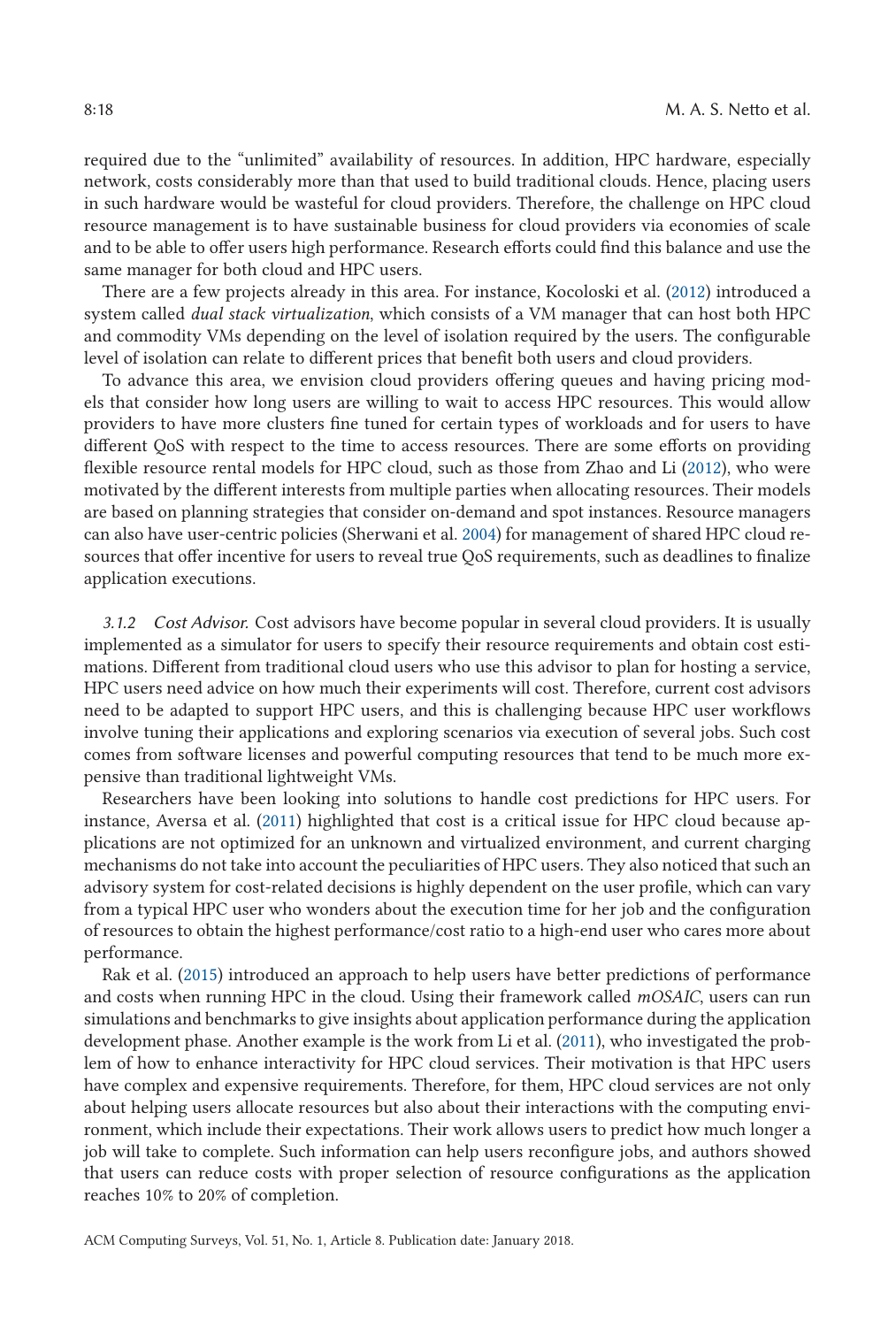required due to the "unlimited" availability of resources. In addition, HPC hardware, especially network, costs considerably more than that used to build traditional clouds. Hence, placing users in such hardware would be wasteful for cloud providers. Therefore, the challenge on HPC cloud resource management is to have sustainable business for cloud providers via economies of scale and to be able to offer users high performance. Research efforts could find this balance and use the same manager for both cloud and HPC users.

There are a few projects already in this area. For instance, Kocoloski et al. [\(2012\)](#page-26-0) introduced a system called *dual stack virtualization*, which consists of a VM manager that can host both HPC and commodity VMs depending on the level of isolation required by the users. The configurable level of isolation can relate to different prices that benefit both users and cloud providers.

To advance this area, we envision cloud providers offering queues and having pricing models that consider how long users are willing to wait to access HPC resources. This would allow providers to have more clusters fine tuned for certain types of workloads and for users to have different QoS with respect to the time to access resources. There are some efforts on providing flexible resource rental models for HPC cloud, such as those from Zhao and Li [\(2012\)](#page-28-0), who were motivated by the different interests from multiple parties when allocating resources. Their models are based on planning strategies that consider on-demand and spot instances. Resource managers can also have user-centric policies (Sherwani et al. [2004\)](#page-27-0) for management of shared HPC cloud resources that offer incentive for users to reveal true QoS requirements, such as deadlines to finalize application executions.

*3.1.2 Cost Advisor.* Cost advisors have become popular in several cloud providers. It is usually implemented as a simulator for users to specify their resource requirements and obtain cost estimations. Different from traditional cloud users who use this advisor to plan for hosting a service, HPC users need advice on how much their experiments will cost. Therefore, current cost advisors need to be adapted to support HPC users, and this is challenging because HPC user workflows involve tuning their applications and exploring scenarios via execution of several jobs. Such cost comes from software licenses and powerful computing resources that tend to be much more expensive than traditional lightweight VMs.

Researchers have been looking into solutions to handle cost predictions for HPC users. For instance, Aversa et al. [\(2011\)](#page-23-0) highlighted that cost is a critical issue for HPC cloud because applications are not optimized for an unknown and virtualized environment, and current charging mechanisms do not take into account the peculiarities of HPC users. They also noticed that such an advisory system for cost-related decisions is highly dependent on the user profile, which can vary from a typical HPC user who wonders about the execution time for her job and the configuration of resources to obtain the highest performance/cost ratio to a high-end user who cares more about performance.

Rak et al. [\(2015\)](#page-27-0) introduced an approach to help users have better predictions of performance and costs when running HPC in the cloud. Using their framework called *mOSAIC*, users can run simulations and benchmarks to give insights about application performance during the application development phase. Another example is the work from Li et al. [\(2011\)](#page-26-0), who investigated the problem of how to enhance interactivity for HPC cloud services. Their motivation is that HPC users have complex and expensive requirements. Therefore, for them, HPC cloud services are not only about helping users allocate resources but also about their interactions with the computing environment, which include their expectations. Their work allows users to predict how much longer a job will take to complete. Such information can help users reconfigure jobs, and authors showed that users can reduce costs with proper selection of resource configurations as the application reaches 10% to 20% of completion.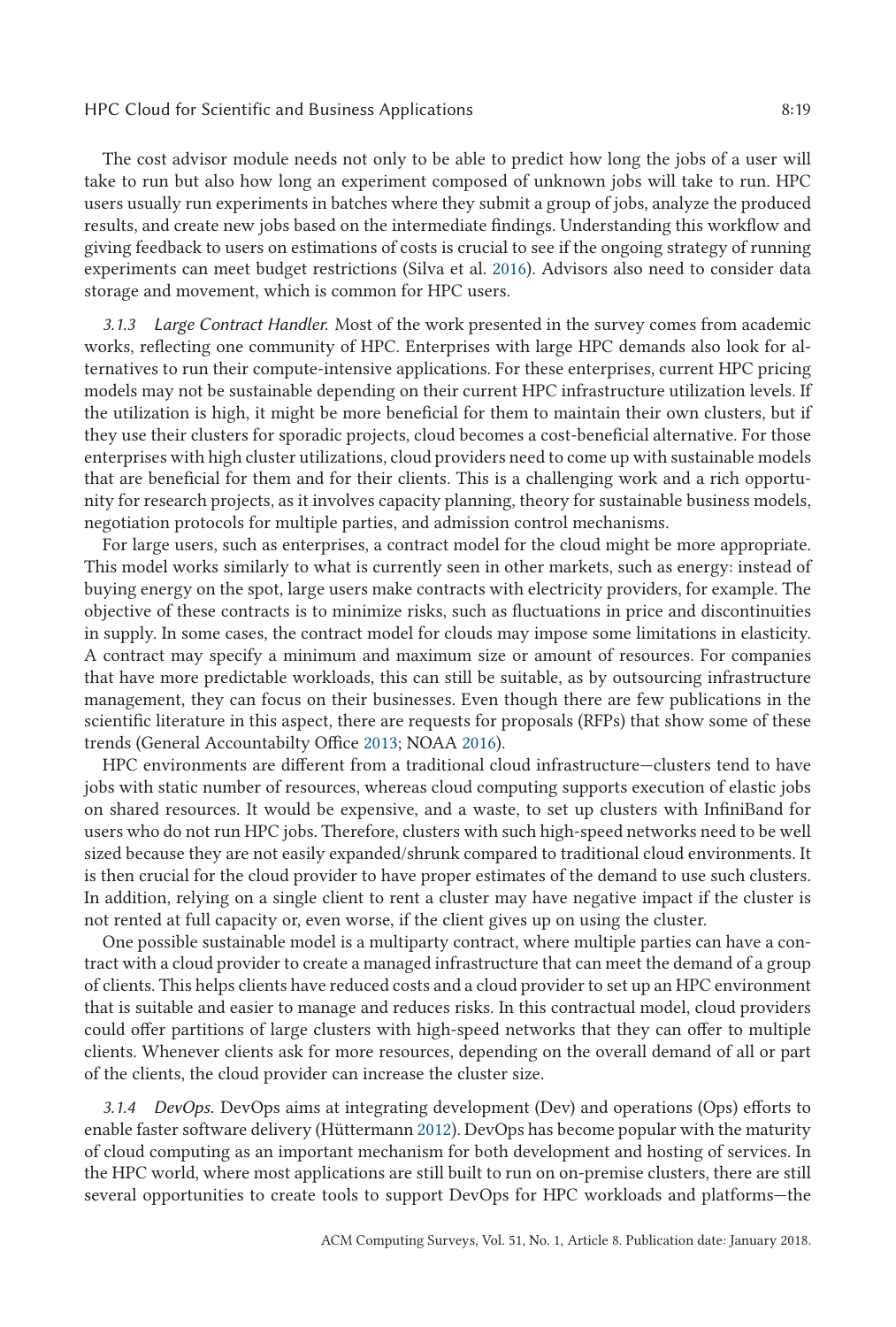The cost advisor module needs not only to be able to predict how long the jobs of a user will take to run but also how long an experiment composed of unknown jobs will take to run. HPC users usually run experiments in batches where they submit a group of jobs, analyze the produced results, and create new jobs based on the intermediate findings. Understanding this workflow and giving feedback to users on estimations of costs is crucial to see if the ongoing strategy of running experiments can meet budget restrictions (Silva et al. [2016\)](#page-27-0). Advisors also need to consider data storage and movement, which is common for HPC users.

*3.1.3 Large Contract Handler.* Most of the work presented in the survey comes from academic works, reflecting one community of HPC. Enterprises with large HPC demands also look for alternatives to run their compute-intensive applications. For these enterprises, current HPC pricing models may not be sustainable depending on their current HPC infrastructure utilization levels. If the utilization is high, it might be more beneficial for them to maintain their own clusters, but if they use their clusters for sporadic projects, cloud becomes a cost-beneficial alternative. For those enterprises with high cluster utilizations, cloud providers need to come up with sustainable models that are beneficial for them and for their clients. This is a challenging work and a rich opportunity for research projects, as it involves capacity planning, theory for sustainable business models, negotiation protocols for multiple parties, and admission control mechanisms.

For large users, such as enterprises, a contract model for the cloud might be more appropriate. This model works similarly to what is currently seen in other markets, such as energy: instead of buying energy on the spot, large users make contracts with electricity providers, for example. The objective of these contracts is to minimize risks, such as fluctuations in price and discontinuities in supply. In some cases, the contract model for clouds may impose some limitations in elasticity. A contract may specify a minimum and maximum size or amount of resources. For companies that have more predictable workloads, this can still be suitable, as by outsourcing infrastructure management, they can focus on their businesses. Even though there are few publications in the scientific literature in this aspect, there are requests for proposals (RFPs) that show some of these trends (General Accountabilty Office [2013;](#page-25-0) NOAA [2016\)](#page-26-0).

HPC environments are different from a traditional cloud infrastructure—clusters tend to have jobs with static number of resources, whereas cloud computing supports execution of elastic jobs on shared resources. It would be expensive, and a waste, to set up clusters with InfiniBand for users who do not run HPC jobs. Therefore, clusters with such high-speed networks need to be well sized because they are not easily expanded/shrunk compared to traditional cloud environments. It is then crucial for the cloud provider to have proper estimates of the demand to use such clusters. In addition, relying on a single client to rent a cluster may have negative impact if the cluster is not rented at full capacity or, even worse, if the client gives up on using the cluster.

One possible sustainable model is a multiparty contract, where multiple parties can have a contract with a cloud provider to create a managed infrastructure that can meet the demand of a group of clients. This helps clients have reduced costs and a cloud provider to set up an HPC environment that is suitable and easier to manage and reduces risks. In this contractual model, cloud providers could offer partitions of large clusters with high-speed networks that they can offer to multiple clients. Whenever clients ask for more resources, depending on the overall demand of all or part of the clients, the cloud provider can increase the cluster size.

*3.1.4 DevOps.* DevOps aims at integrating development (Dev) and operations (Ops) efforts to enable faster software delivery (Hüttermann [2012\)](#page-25-0). DevOps has become popular with the maturity of cloud computing as an important mechanism for both development and hosting of services. In the HPC world, where most applications are still built to run on on-premise clusters, there are still several opportunities to create tools to support DevOps for HPC workloads and platforms—the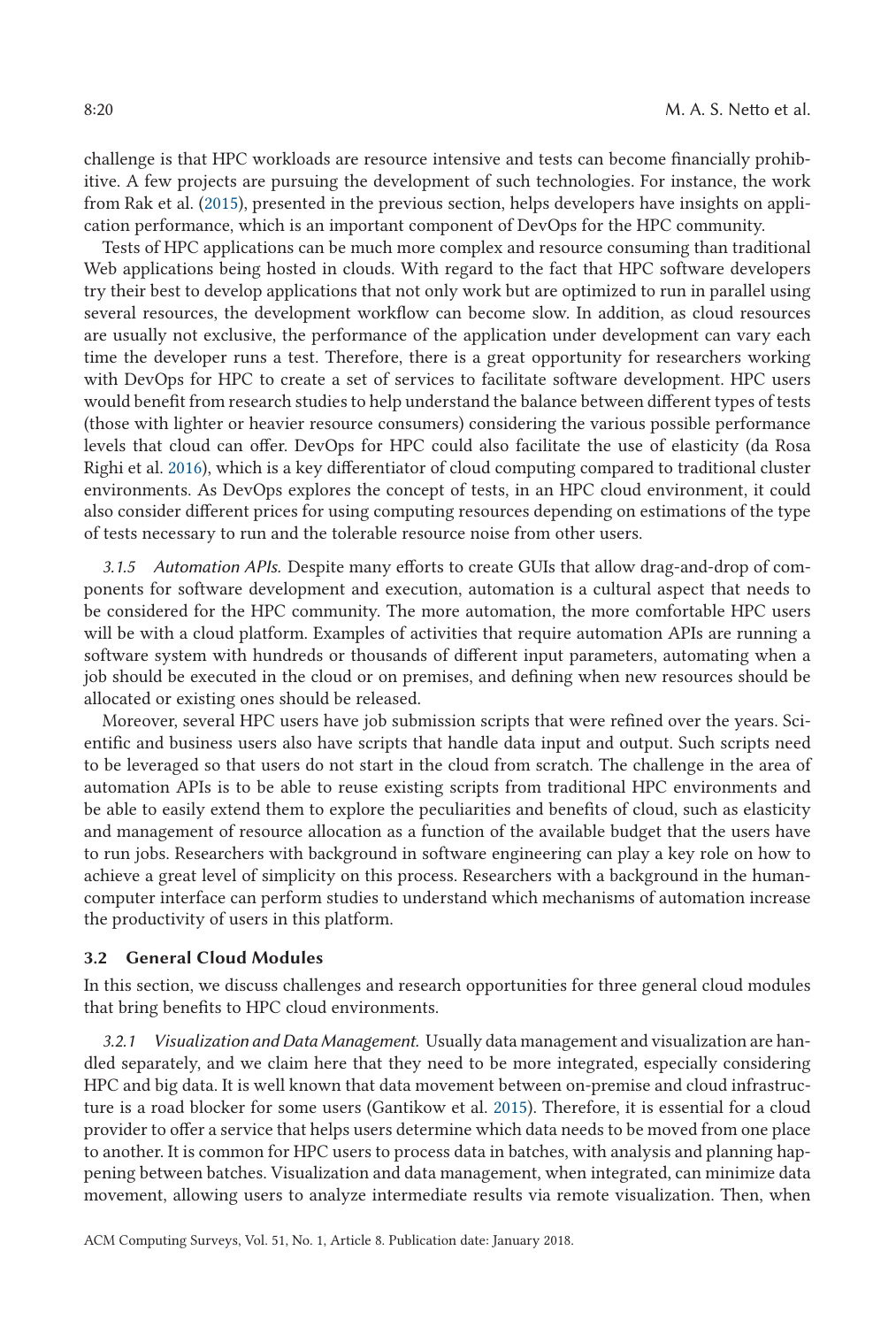challenge is that HPC workloads are resource intensive and tests can become financially prohibitive. A few projects are pursuing the development of such technologies. For instance, the work from Rak et al. [\(2015\)](#page-27-0), presented in the previous section, helps developers have insights on application performance, which is an important component of DevOps for the HPC community.

Tests of HPC applications can be much more complex and resource consuming than traditional Web applications being hosted in clouds. With regard to the fact that HPC software developers try their best to develop applications that not only work but are optimized to run in parallel using several resources, the development workflow can become slow. In addition, as cloud resources are usually not exclusive, the performance of the application under development can vary each time the developer runs a test. Therefore, there is a great opportunity for researchers working with DevOps for HPC to create a set of services to facilitate software development. HPC users would benefit from research studies to help understand the balance between different types of tests (those with lighter or heavier resource consumers) considering the various possible performance levels that cloud can offer. DevOps for HPC could also facilitate the use of elasticity (da Rosa Righi et al. [2016\)](#page-24-0), which is a key differentiator of cloud computing compared to traditional cluster environments. As DevOps explores the concept of tests, in an HPC cloud environment, it could also consider different prices for using computing resources depending on estimations of the type of tests necessary to run and the tolerable resource noise from other users.

*3.1.5 Automation APIs.* Despite many efforts to create GUIs that allow drag-and-drop of components for software development and execution, automation is a cultural aspect that needs to be considered for the HPC community. The more automation, the more comfortable HPC users will be with a cloud platform. Examples of activities that require automation APIs are running a software system with hundreds or thousands of different input parameters, automating when a job should be executed in the cloud or on premises, and defining when new resources should be allocated or existing ones should be released.

Moreover, several HPC users have job submission scripts that were refined over the years. Scientific and business users also have scripts that handle data input and output. Such scripts need to be leveraged so that users do not start in the cloud from scratch. The challenge in the area of automation APIs is to be able to reuse existing scripts from traditional HPC environments and be able to easily extend them to explore the peculiarities and benefits of cloud, such as elasticity and management of resource allocation as a function of the available budget that the users have to run jobs. Researchers with background in software engineering can play a key role on how to achieve a great level of simplicity on this process. Researchers with a background in the humancomputer interface can perform studies to understand which mechanisms of automation increase the productivity of users in this platform.

#### **3.2 General Cloud Modules**

In this section, we discuss challenges and research opportunities for three general cloud modules that bring benefits to HPC cloud environments.

*3.2.1 Visualization and Data Management.* Usually data management and visualization are handled separately, and we claim here that they need to be more integrated, especially considering HPC and big data. It is well known that data movement between on-premise and cloud infrastructure is a road blocker for some users (Gantikow et al. [2015\)](#page-25-0). Therefore, it is essential for a cloud provider to offer a service that helps users determine which data needs to be moved from one place to another. It is common for HPC users to process data in batches, with analysis and planning happening between batches. Visualization and data management, when integrated, can minimize data movement, allowing users to analyze intermediate results via remote visualization. Then, when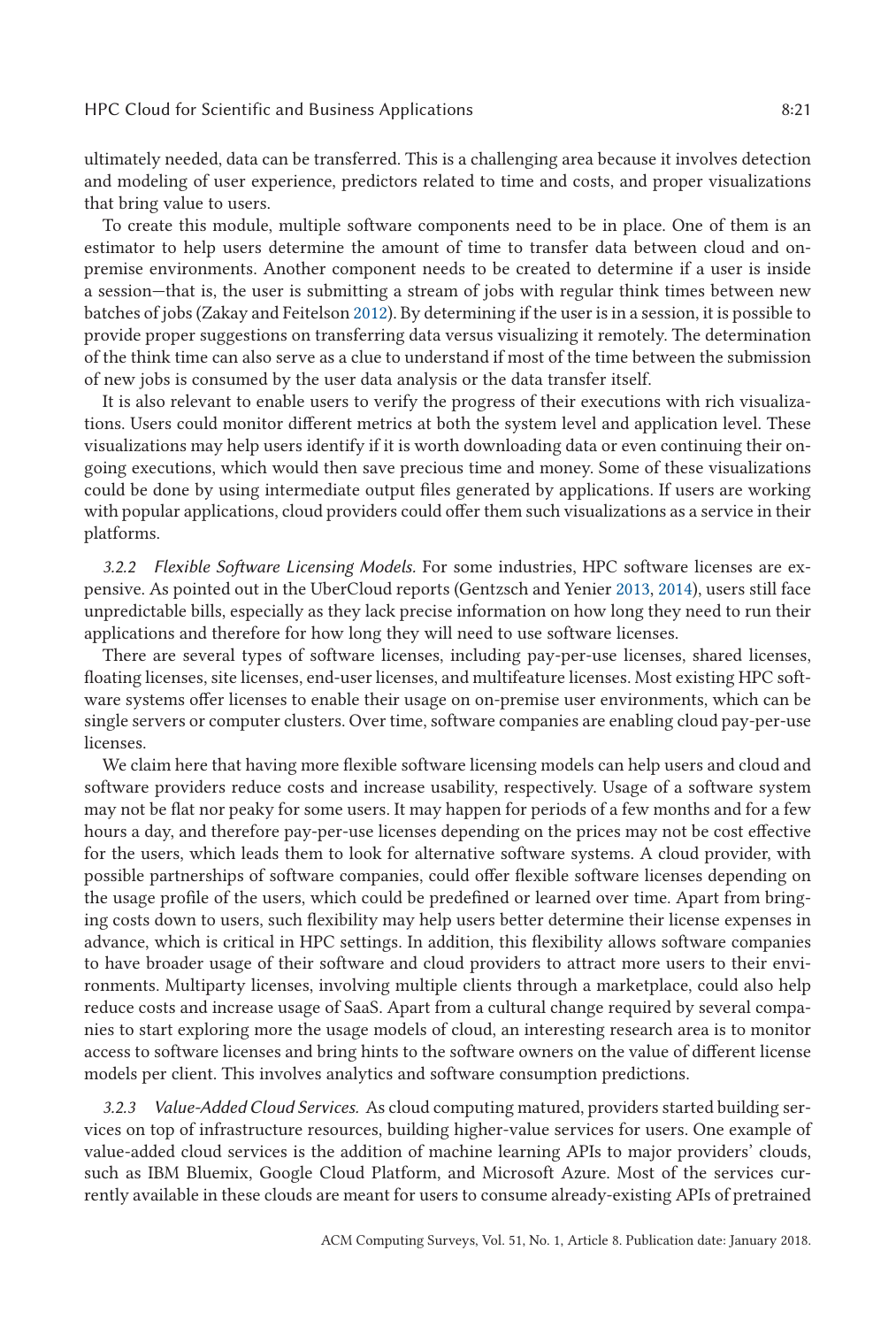ultimately needed, data can be transferred. This is a challenging area because it involves detection and modeling of user experience, predictors related to time and costs, and proper visualizations that bring value to users.

To create this module, multiple software components need to be in place. One of them is an estimator to help users determine the amount of time to transfer data between cloud and onpremise environments. Another component needs to be created to determine if a user is inside a session—that is, the user is submitting a stream of jobs with regular think times between new batches of jobs (Zakay and Feitelson [2012\)](#page-28-0). By determining if the user is in a session, it is possible to provide proper suggestions on transferring data versus visualizing it remotely. The determination of the think time can also serve as a clue to understand if most of the time between the submission of new jobs is consumed by the user data analysis or the data transfer itself.

It is also relevant to enable users to verify the progress of their executions with rich visualizations. Users could monitor different metrics at both the system level and application level. These visualizations may help users identify if it is worth downloading data or even continuing their ongoing executions, which would then save precious time and money. Some of these visualizations could be done by using intermediate output files generated by applications. If users are working with popular applications, cloud providers could offer them such visualizations as a service in their platforms.

*3.2.2 Flexible Software Licensing Models.* For some industries, HPC software licenses are expensive. As pointed out in the UberCloud reports (Gentzsch and Yenier [2013,](#page-25-0) [2014\)](#page-25-0), users still face unpredictable bills, especially as they lack precise information on how long they need to run their applications and therefore for how long they will need to use software licenses.

There are several types of software licenses, including pay-per-use licenses, shared licenses, floating licenses, site licenses, end-user licenses, and multifeature licenses. Most existing HPC software systems offer licenses to enable their usage on on-premise user environments, which can be single servers or computer clusters. Over time, software companies are enabling cloud pay-per-use licenses.

We claim here that having more flexible software licensing models can help users and cloud and software providers reduce costs and increase usability, respectively. Usage of a software system may not be flat nor peaky for some users. It may happen for periods of a few months and for a few hours a day, and therefore pay-per-use licenses depending on the prices may not be cost effective for the users, which leads them to look for alternative software systems. A cloud provider, with possible partnerships of software companies, could offer flexible software licenses depending on the usage profile of the users, which could be predefined or learned over time. Apart from bringing costs down to users, such flexibility may help users better determine their license expenses in advance, which is critical in HPC settings. In addition, this flexibility allows software companies to have broader usage of their software and cloud providers to attract more users to their environments. Multiparty licenses, involving multiple clients through a marketplace, could also help reduce costs and increase usage of SaaS. Apart from a cultural change required by several companies to start exploring more the usage models of cloud, an interesting research area is to monitor access to software licenses and bring hints to the software owners on the value of different license models per client. This involves analytics and software consumption predictions.

*3.2.3 Value-Added Cloud Services.* As cloud computing matured, providers started building services on top of infrastructure resources, building higher-value services for users. One example of value-added cloud services is the addition of machine learning APIs to major providers' clouds, such as IBM Bluemix, Google Cloud Platform, and Microsoft Azure. Most of the services currently available in these clouds are meant for users to consume already-existing APIs of pretrained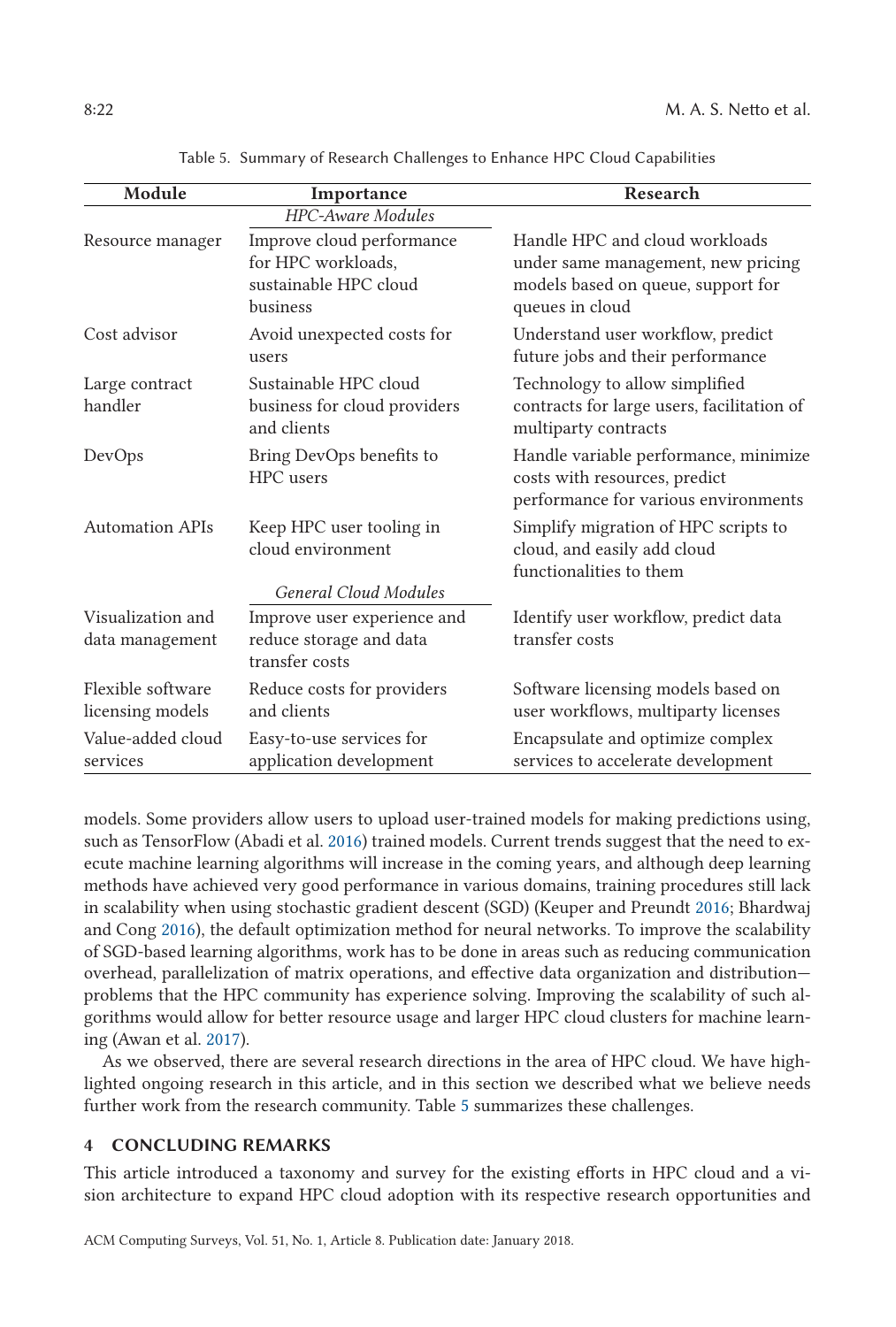| Module                                | Importance                                                                           | Research                                                                                                                      |
|---------------------------------------|--------------------------------------------------------------------------------------|-------------------------------------------------------------------------------------------------------------------------------|
|                                       | <b>HPC-Aware Modules</b>                                                             |                                                                                                                               |
| Resource manager                      | Improve cloud performance<br>for HPC workloads.<br>sustainable HPC cloud<br>business | Handle HPC and cloud workloads<br>under same management, new pricing<br>models based on queue, support for<br>queues in cloud |
| Cost advisor                          | Avoid unexpected costs for<br>users                                                  | Understand user workflow, predict<br>future jobs and their performance                                                        |
| Large contract<br>handler             | Sustainable HPC cloud<br>business for cloud providers<br>and clients                 | Technology to allow simplified<br>contracts for large users, facilitation of<br>multiparty contracts                          |
| DevOps                                | Bring DevOps benefits to<br>HPC users                                                | Handle variable performance, minimize<br>costs with resources, predict<br>performance for various environments                |
| <b>Automation APIs</b>                | Keep HPC user tooling in<br>cloud environment<br><b>General Cloud Modules</b>        | Simplify migration of HPC scripts to<br>cloud, and easily add cloud<br>functionalities to them                                |
| Visualization and<br>data management  | Improve user experience and<br>reduce storage and data<br>transfer costs             | Identify user workflow, predict data<br>transfer costs                                                                        |
| Flexible software<br>licensing models | Reduce costs for providers<br>and clients                                            | Software licensing models based on<br>user workflows, multiparty licenses                                                     |
| Value-added cloud<br>services         | Easy-to-use services for<br>application development                                  | Encapsulate and optimize complex<br>services to accelerate development                                                        |

Table 5. Summary of Research Challenges to Enhance HPC Cloud Capabilities

models. Some providers allow users to upload user-trained models for making predictions using, such as TensorFlow (Abadi et al. [2016\)](#page-23-0) trained models. Current trends suggest that the need to execute machine learning algorithms will increase in the coming years, and although deep learning methods have achieved very good performance in various domains, training procedures still lack in scalability when using stochastic gradient descent (SGD) (Keuper and Preundt [2016;](#page-26-0) Bhardwaj and Cong [2016\)](#page-23-0), the default optimization method for neural networks. To improve the scalability of SGD-based learning algorithms, work has to be done in areas such as reducing communication overhead, parallelization of matrix operations, and effective data organization and distribution problems that the HPC community has experience solving. Improving the scalability of such algorithms would allow for better resource usage and larger HPC cloud clusters for machine learning (Awan et al. [2017\)](#page-23-0).

As we observed, there are several research directions in the area of HPC cloud. We have highlighted ongoing research in this article, and in this section we described what we believe needs further work from the research community. Table 5 summarizes these challenges.

# **4 CONCLUDING REMARKS**

This article introduced a taxonomy and survey for the existing efforts in HPC cloud and a vision architecture to expand HPC cloud adoption with its respective research opportunities and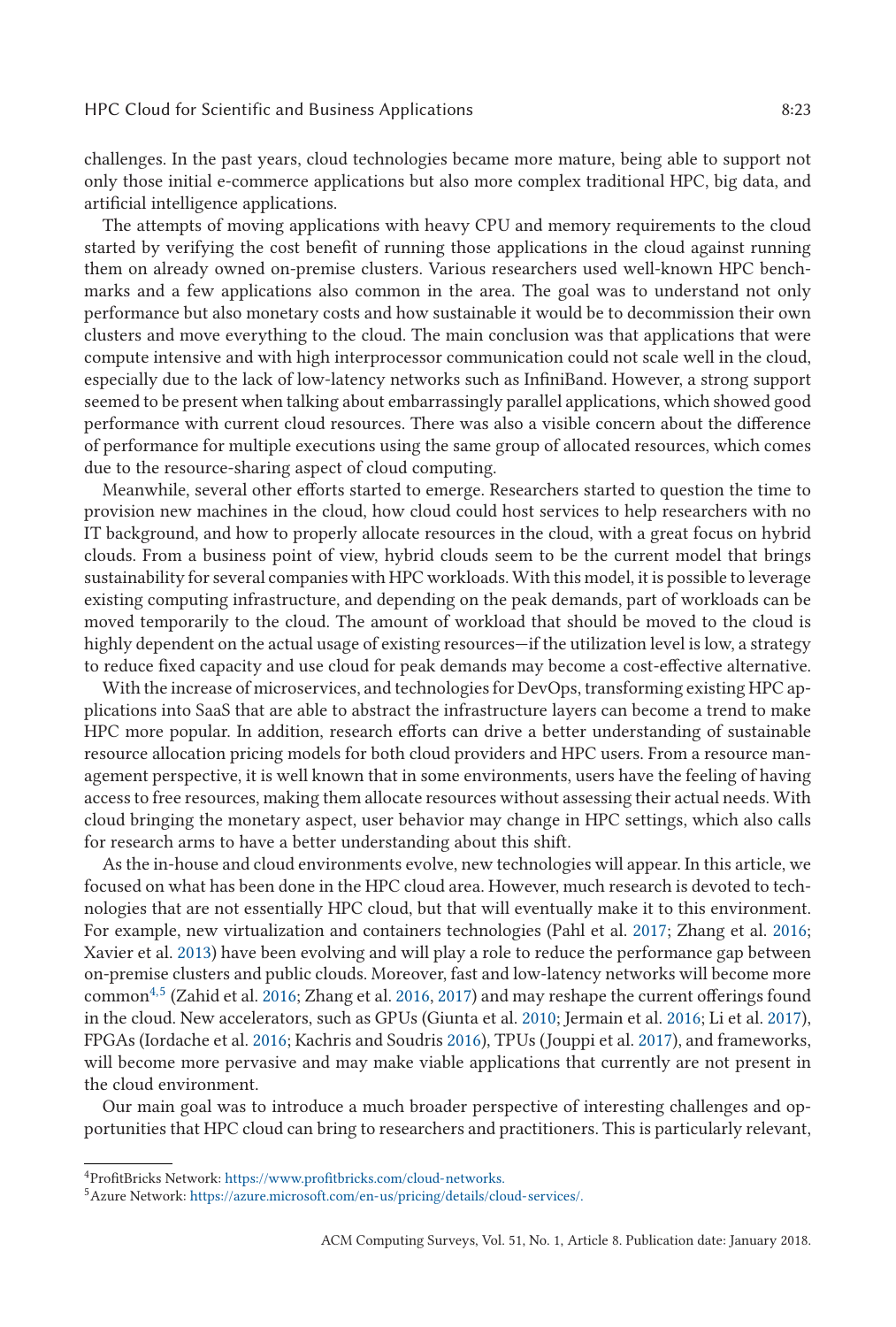challenges. In the past years, cloud technologies became more mature, being able to support not only those initial e-commerce applications but also more complex traditional HPC, big data, and artificial intelligence applications.

The attempts of moving applications with heavy CPU and memory requirements to the cloud started by verifying the cost benefit of running those applications in the cloud against running them on already owned on-premise clusters. Various researchers used well-known HPC benchmarks and a few applications also common in the area. The goal was to understand not only performance but also monetary costs and how sustainable it would be to decommission their own clusters and move everything to the cloud. The main conclusion was that applications that were compute intensive and with high interprocessor communication could not scale well in the cloud, especially due to the lack of low-latency networks such as InfiniBand. However, a strong support seemed to be present when talking about embarrassingly parallel applications, which showed good performance with current cloud resources. There was also a visible concern about the difference of performance for multiple executions using the same group of allocated resources, which comes due to the resource-sharing aspect of cloud computing.

Meanwhile, several other efforts started to emerge. Researchers started to question the time to provision new machines in the cloud, how cloud could host services to help researchers with no IT background, and how to properly allocate resources in the cloud, with a great focus on hybrid clouds. From a business point of view, hybrid clouds seem to be the current model that brings sustainability for several companies with HPC workloads. With this model, it is possible to leverage existing computing infrastructure, and depending on the peak demands, part of workloads can be moved temporarily to the cloud. The amount of workload that should be moved to the cloud is highly dependent on the actual usage of existing resources—if the utilization level is low, a strategy to reduce fixed capacity and use cloud for peak demands may become a cost-effective alternative.

With the increase of microservices, and technologies for DevOps, transforming existing HPC applications into SaaS that are able to abstract the infrastructure layers can become a trend to make HPC more popular. In addition, research efforts can drive a better understanding of sustainable resource allocation pricing models for both cloud providers and HPC users. From a resource management perspective, it is well known that in some environments, users have the feeling of having access to free resources, making them allocate resources without assessing their actual needs. With cloud bringing the monetary aspect, user behavior may change in HPC settings, which also calls for research arms to have a better understanding about this shift.

As the in-house and cloud environments evolve, new technologies will appear. In this article, we focused on what has been done in the HPC cloud area. However, much research is devoted to technologies that are not essentially HPC cloud, but that will eventually make it to this environment. For example, new virtualization and containers technologies (Pahl et al. [2017;](#page-27-0) Zhang et al. [2016;](#page-28-0) Xavier et al. [2013\)](#page-27-0) have been evolving and will play a role to reduce the performance gap between on-premise clusters and public clouds. Moreover, fast and low-latency networks will become more common4,5 (Zahid et al. [2016;](#page-28-0) Zhang et al. [2016,](#page-28-0) [2017\)](#page-28-0) and may reshape the current offerings found in the cloud. New accelerators, such as GPUs (Giunta et al. [2010;](#page-25-0) Jermain et al. [2016;](#page-26-0) Li et al. [2017\)](#page-26-0), FPGAs (Iordache et al. [2016;](#page-25-0) Kachris and Soudris [2016\)](#page-26-0), TPUs (Jouppi et al. [2017\)](#page-26-0), and frameworks, will become more pervasive and may make viable applications that currently are not present in the cloud environment.

Our main goal was to introduce a much broader perspective of interesting challenges and opportunities that HPC cloud can bring to researchers and practitioners. This is particularly relevant,

<sup>4</sup>ProfitBricks Network: <https://www.profitbricks.com/cloud-networks.>

 $^5$ Azure Network: <https://azure.microsoft.com/en-us/pricing/details/cloud-services/.>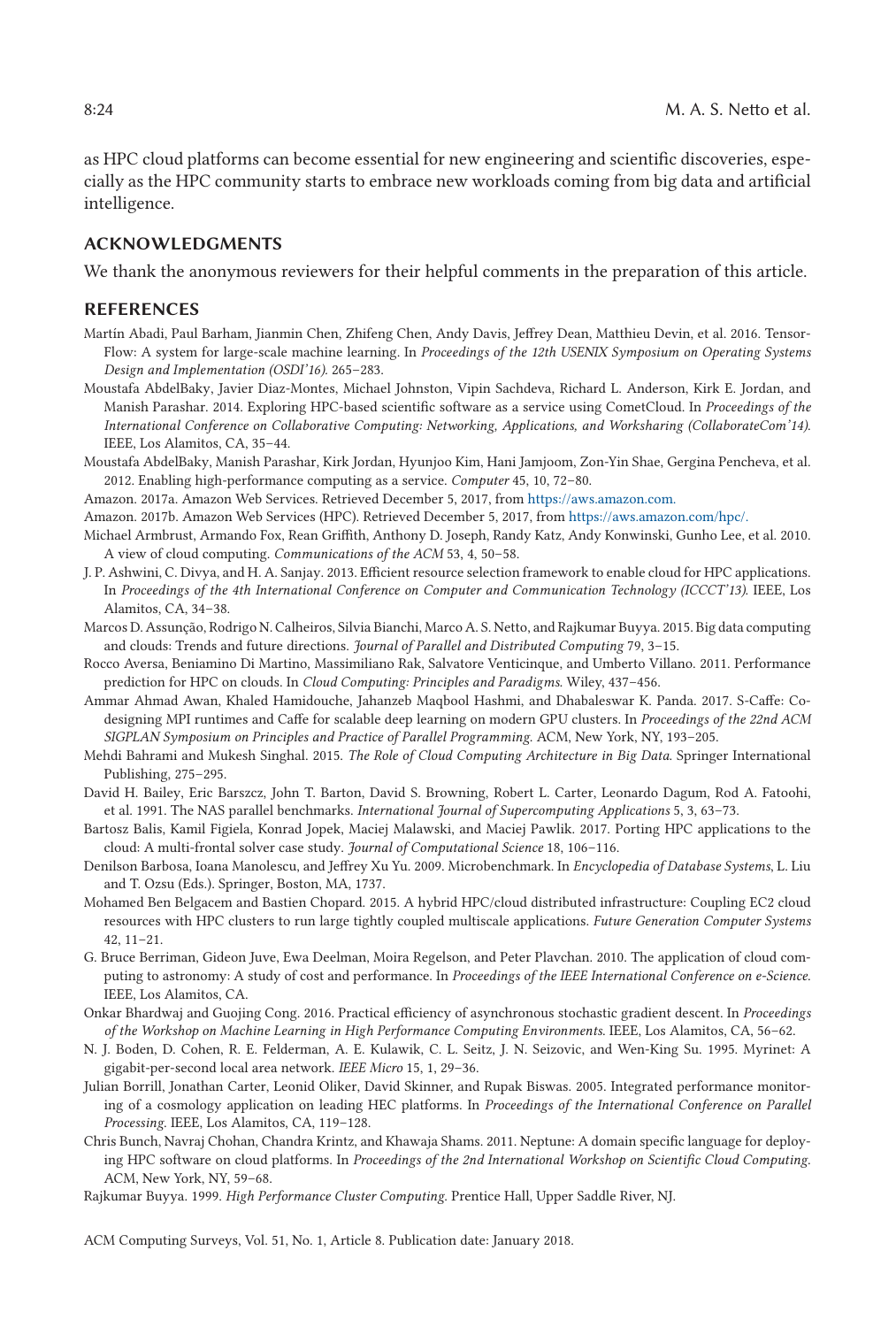<span id="page-23-0"></span>as HPC cloud platforms can become essential for new engineering and scientific discoveries, especially as the HPC community starts to embrace new workloads coming from big data and artificial intelligence.

# **ACKNOWLEDGMENTS**

We thank the anonymous reviewers for their helpful comments in the preparation of this article.

#### **REFERENCES**

- Martín Abadi, Paul Barham, Jianmin Chen, Zhifeng Chen, Andy Davis, Jeffrey Dean, Matthieu Devin, et al. 2016. Tensor-Flow: A system for large-scale machine learning. In *Proceedings of the 12th USENIX Symposium on Operating Systems Design and Implementation (OSDI'16).* 265–283.
- Moustafa AbdelBaky, Javier Diaz-Montes, Michael Johnston, Vipin Sachdeva, Richard L. Anderson, Kirk E. Jordan, and Manish Parashar. 2014. Exploring HPC-based scientific software as a service using CometCloud. In *Proceedings of the International Conference on Collaborative Computing: Networking, Applications, and Worksharing (CollaborateCom'14)*. IEEE, Los Alamitos, CA, 35–44.
- Moustafa AbdelBaky, Manish Parashar, Kirk Jordan, Hyunjoo Kim, Hani Jamjoom, Zon-Yin Shae, Gergina Pencheva, et al. 2012. Enabling high-performance computing as a service. *Computer* 45, 10, 72–80.

Amazon. 2017a. Amazon Web Services. Retrieved December 5, 2017, from <https://aws.amazon.com.>

- Amazon. 2017b. Amazon Web Services (HPC). Retrieved December 5, 2017, from <https://aws.amazon.com/hpc/.>
- Michael Armbrust, Armando Fox, Rean Griffith, Anthony D. Joseph, Randy Katz, Andy Konwinski, Gunho Lee, et al. 2010. A view of cloud computing. *Communications of the ACM* 53, 4, 50–58.
- J. P. Ashwini, C. Divya, and H. A. Sanjay. 2013. Efficient resource selection framework to enable cloud for HPC applications. In *Proceedings of the 4th International Conference on Computer and Communication Technology (ICCCT'13)*. IEEE, Los Alamitos, CA, 34–38.
- Marcos D. Assunção, Rodrigo N. Calheiros, Silvia Bianchi, Marco A. S. Netto, and Rajkumar Buyya. 2015. Big data computing and clouds: Trends and future directions. *Journal of Parallel and Distributed Computing* 79, 3–15.
- Rocco Aversa, Beniamino Di Martino, Massimiliano Rak, Salvatore Venticinque, and Umberto Villano. 2011. Performance prediction for HPC on clouds. In *Cloud Computing: Principles and Paradigms.* Wiley, 437–456.
- Ammar Ahmad Awan, Khaled Hamidouche, Jahanzeb Maqbool Hashmi, and Dhabaleswar K. Panda. 2017. S-Caffe: Codesigning MPI runtimes and Caffe for scalable deep learning on modern GPU clusters. In *Proceedings of the 22nd ACM SIGPLAN Symposium on Principles and Practice of Parallel Programming*. ACM, New York, NY, 193–205.
- Mehdi Bahrami and Mukesh Singhal. 2015. *The Role of Cloud Computing Architecture in Big Data*. Springer International Publishing, 275–295.
- David H. Bailey, Eric Barszcz, John T. Barton, David S. Browning, Robert L. Carter, Leonardo Dagum, Rod A. Fatoohi, et al. 1991. The NAS parallel benchmarks. *International Journal of Supercomputing Applications* 5, 3, 63–73.
- Bartosz Balis, Kamil Figiela, Konrad Jopek, Maciej Malawski, and Maciej Pawlik. 2017. Porting HPC applications to the cloud: A multi-frontal solver case study. *Journal of Computational Science* 18, 106–116.
- Denilson Barbosa, Ioana Manolescu, and Jeffrey Xu Yu. 2009. Microbenchmark. In *Encyclopedia of Database Systems*, L. Liu and T. Ozsu (Eds.). Springer, Boston, MA, 1737.
- Mohamed Ben Belgacem and Bastien Chopard. 2015. A hybrid HPC/cloud distributed infrastructure: Coupling EC2 cloud resources with HPC clusters to run large tightly coupled multiscale applications. *Future Generation Computer Systems* 42, 11–21.
- G. Bruce Berriman, Gideon Juve, Ewa Deelman, Moira Regelson, and Peter Plavchan. 2010. The application of cloud computing to astronomy: A study of cost and performance. In *Proceedings of the IEEE International Conference on e-Science*. IEEE, Los Alamitos, CA.
- Onkar Bhardwaj and Guojing Cong. 2016. Practical efficiency of asynchronous stochastic gradient descent. In *Proceedings of the Workshop on Machine Learning in High Performance Computing Environments*. IEEE, Los Alamitos, CA, 56–62.
- N. J. Boden, D. Cohen, R. E. Felderman, A. E. Kulawik, C. L. Seitz, J. N. Seizovic, and Wen-King Su. 1995. Myrinet: A gigabit-per-second local area network. *IEEE Micro* 15, 1, 29–36.
- Julian Borrill, Jonathan Carter, Leonid Oliker, David Skinner, and Rupak Biswas. 2005. Integrated performance monitoring of a cosmology application on leading HEC platforms. In *Proceedings of the International Conference on Parallel Processing*. IEEE, Los Alamitos, CA, 119–128.
- Chris Bunch, Navraj Chohan, Chandra Krintz, and Khawaja Shams. 2011. Neptune: A domain specific language for deploying HPC software on cloud platforms. In *Proceedings of the 2nd International Workshop on Scientific Cloud Computing*. ACM, New York, NY, 59–68.
- Rajkumar Buyya. 1999. *High Performance Cluster Computing*. Prentice Hall, Upper Saddle River, NJ.

ACM Computing Surveys, Vol. 51, No. 1, Article 8. Publication date: January 2018.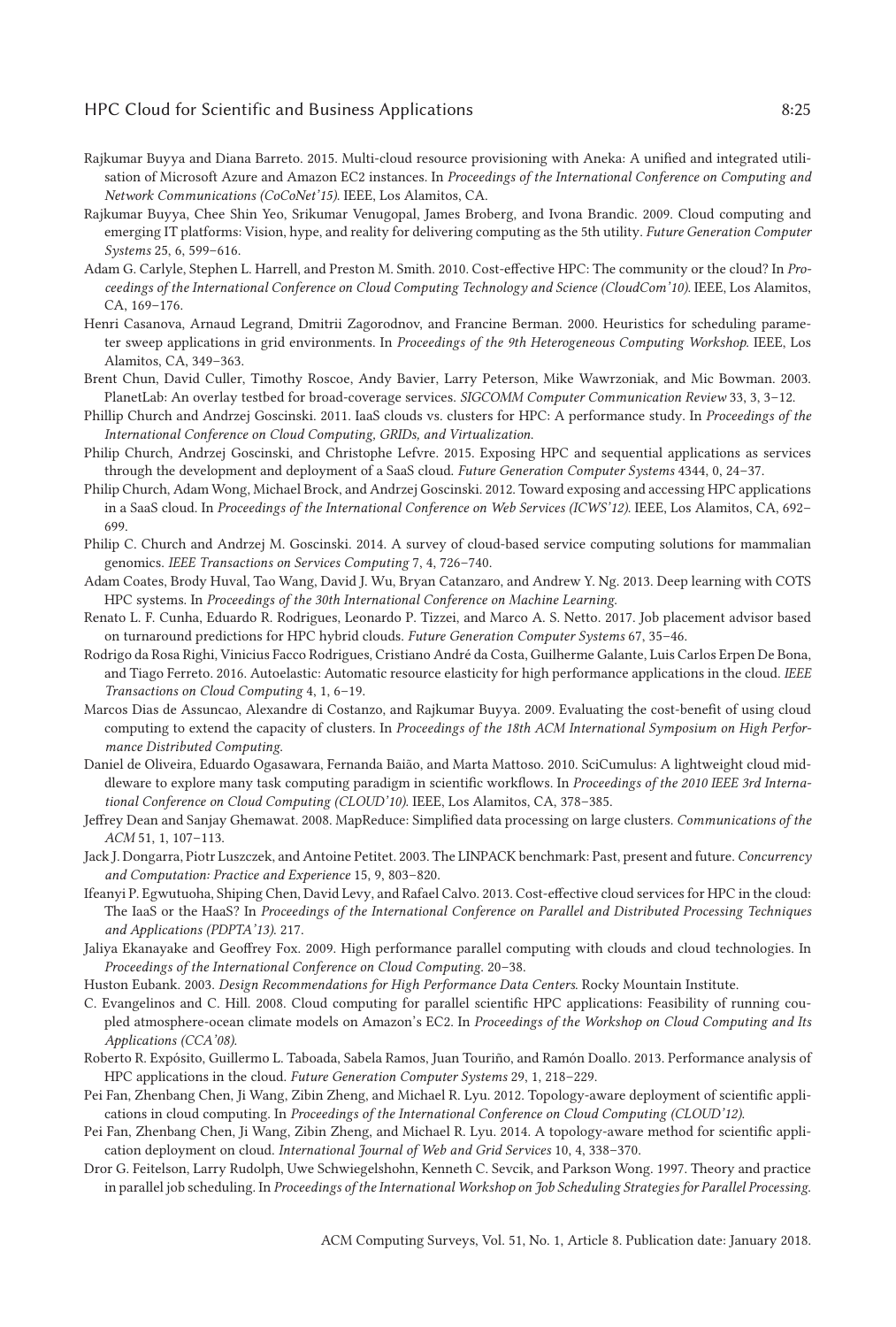## <span id="page-24-0"></span>HPC Cloud for Scientific and Business Applications 8:25

- Rajkumar Buyya and Diana Barreto. 2015. Multi-cloud resource provisioning with Aneka: A unified and integrated utilisation of Microsoft Azure and Amazon EC2 instances. In *Proceedings of the International Conference on Computing and Network Communications (CoCoNet'15)*. IEEE, Los Alamitos, CA.
- Rajkumar Buyya, Chee Shin Yeo, Srikumar Venugopal, James Broberg, and Ivona Brandic. 2009. Cloud computing and emerging IT platforms: Vision, hype, and reality for delivering computing as the 5th utility. *Future Generation Computer Systems* 25, 6, 599–616.
- Adam G. Carlyle, Stephen L. Harrell, and Preston M. Smith. 2010. Cost-effective HPC: The community or the cloud? In *Proceedings of the International Conference on Cloud Computing Technology and Science (CloudCom'10)*. IEEE, Los Alamitos, CA, 169–176.
- Henri Casanova, Arnaud Legrand, Dmitrii Zagorodnov, and Francine Berman. 2000. Heuristics for scheduling parameter sweep applications in grid environments. In *Proceedings of the 9th Heterogeneous Computing Workshop*. IEEE, Los Alamitos, CA, 349–363.
- Brent Chun, David Culler, Timothy Roscoe, Andy Bavier, Larry Peterson, Mike Wawrzoniak, and Mic Bowman. 2003. PlanetLab: An overlay testbed for broad-coverage services. *SIGCOMM Computer Communication Review* 33, 3, 3–12.
- Phillip Church and Andrzej Goscinski. 2011. IaaS clouds vs. clusters for HPC: A performance study. In *Proceedings of the International Conference on Cloud Computing, GRIDs, and Virtualization*.
- Philip Church, Andrzej Goscinski, and Christophe Lefvre. 2015. Exposing HPC and sequential applications as services through the development and deployment of a SaaS cloud. *Future Generation Computer Systems* 4344, 0, 24–37.
- Philip Church, Adam Wong, Michael Brock, and Andrzej Goscinski. 2012. Toward exposing and accessing HPC applications in a SaaS cloud. In *Proceedings of the International Conference on Web Services (ICWS'12)*. IEEE, Los Alamitos, CA, 692– 699.
- Philip C. Church and Andrzej M. Goscinski. 2014. A survey of cloud-based service computing solutions for mammalian genomics. *IEEE Transactions on Services Computing* 7, 4, 726–740.
- Adam Coates, Brody Huval, Tao Wang, David J. Wu, Bryan Catanzaro, and Andrew Y. Ng. 2013. Deep learning with COTS HPC systems. In *Proceedings of the 30th International Conference on Machine Learning*.
- Renato L. F. Cunha, Eduardo R. Rodrigues, Leonardo P. Tizzei, and Marco A. S. Netto. 2017. Job placement advisor based on turnaround predictions for HPC hybrid clouds. *Future Generation Computer Systems* 67, 35–46.
- Rodrigo da Rosa Righi, Vinicius Facco Rodrigues, Cristiano André da Costa, Guilherme Galante, Luis Carlos Erpen De Bona, and Tiago Ferreto. 2016. Autoelastic: Automatic resource elasticity for high performance applications in the cloud. *IEEE Transactions on Cloud Computing* 4, 1, 6–19.
- Marcos Dias de Assuncao, Alexandre di Costanzo, and Rajkumar Buyya. 2009. Evaluating the cost-benefit of using cloud computing to extend the capacity of clusters. In *Proceedings of the 18th ACM International Symposium on High Performance Distributed Computing*.
- Daniel de Oliveira, Eduardo Ogasawara, Fernanda Baião, and Marta Mattoso. 2010. SciCumulus: A lightweight cloud middleware to explore many task computing paradigm in scientific workflows. In *Proceedings of the 2010 IEEE 3rd International Conference on Cloud Computing (CLOUD'10)*. IEEE, Los Alamitos, CA, 378–385.
- Jeffrey Dean and Sanjay Ghemawat. 2008. MapReduce: Simplified data processing on large clusters. *Communications of the ACM* 51, 1, 107–113.
- Jack J. Dongarra, Piotr Luszczek, and Antoine Petitet. 2003. The LINPACK benchmark: Past, present and future. *Concurrency and Computation: Practice and Experience* 15, 9, 803–820.
- Ifeanyi P. Egwutuoha, Shiping Chen, David Levy, and Rafael Calvo. 2013. Cost-effective cloud services for HPC in the cloud: The IaaS or the HaaS? In *Proceedings of the International Conference on Parallel and Distributed Processing Techniques and Applications (PDPTA'13)*. 217.
- Jaliya Ekanayake and Geoffrey Fox. 2009. High performance parallel computing with clouds and cloud technologies. In *Proceedings of the International Conference on Cloud Computing*. 20–38.
- Huston Eubank. 2003. *Design Recommendations for High Performance Data Centers*. Rocky Mountain Institute.
- C. Evangelinos and C. Hill. 2008. Cloud computing for parallel scientific HPC applications: Feasibility of running coupled atmosphere-ocean climate models on Amazon's EC2. In *Proceedings of the Workshop on Cloud Computing and Its Applications (CCA'08)*.
- Roberto R. Expósito, Guillermo L. Taboada, Sabela Ramos, Juan Touriño, and Ramón Doallo. 2013. Performance analysis of HPC applications in the cloud. *Future Generation Computer Systems* 29, 1, 218–229.
- Pei Fan, Zhenbang Chen, Ji Wang, Zibin Zheng, and Michael R. Lyu. 2012. Topology-aware deployment of scientific applications in cloud computing. In *Proceedings of the International Conference on Cloud Computing (CLOUD'12)*.
- Pei Fan, Zhenbang Chen, Ji Wang, Zibin Zheng, and Michael R. Lyu. 2014. A topology-aware method for scientific application deployment on cloud. *International Journal of Web and Grid Services* 10, 4, 338–370.
- Dror G. Feitelson, Larry Rudolph, Uwe Schwiegelshohn, Kenneth C. Sevcik, and Parkson Wong. 1997. Theory and practice in parallel job scheduling. In *Proceedings of the International Workshop on Job Scheduling Strategies for Parallel Processing*.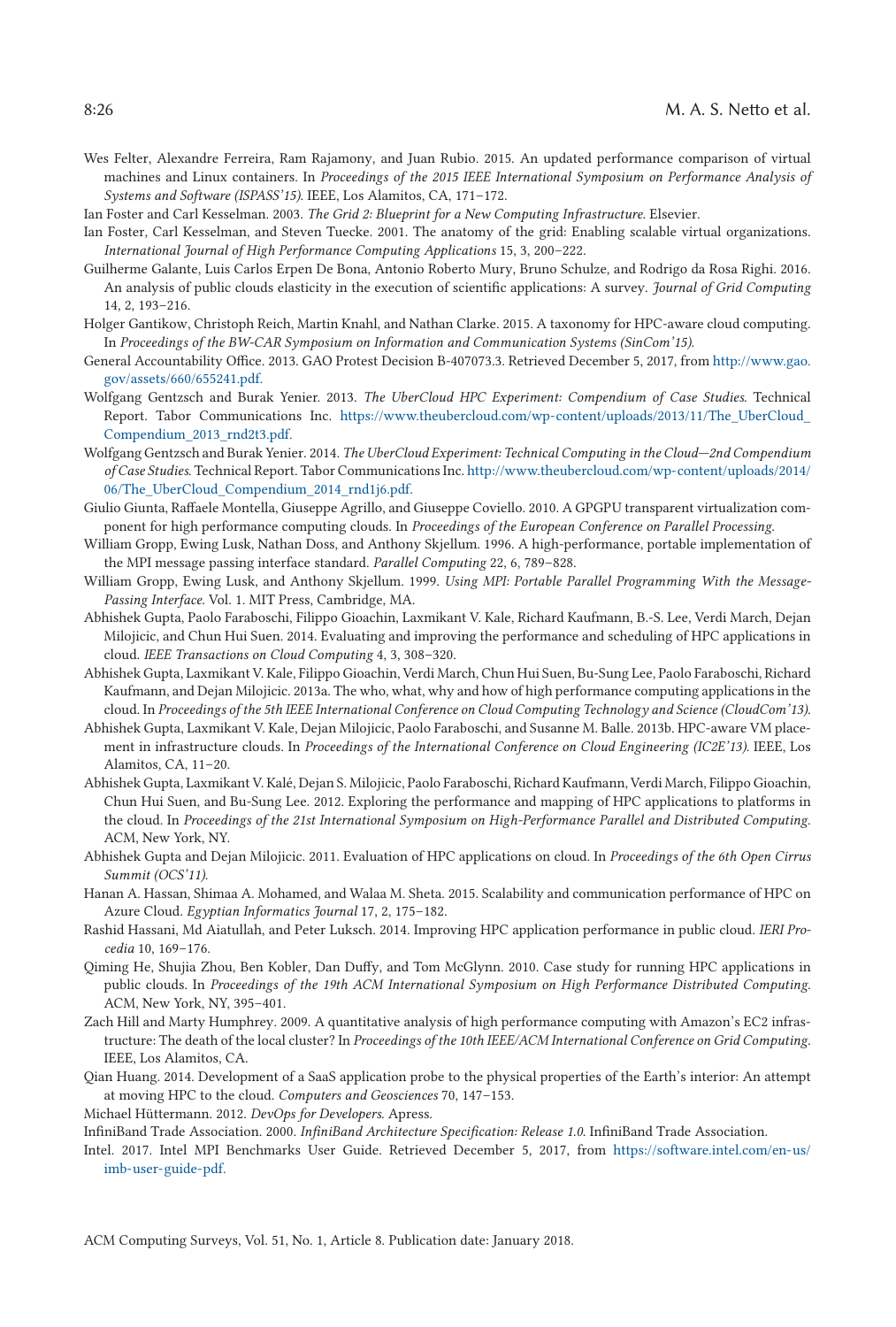- <span id="page-25-0"></span>Wes Felter, Alexandre Ferreira, Ram Rajamony, and Juan Rubio. 2015. An updated performance comparison of virtual machines and Linux containers. In *Proceedings of the 2015 IEEE International Symposium on Performance Analysis of Systems and Software (ISPASS'15)*. IEEE, Los Alamitos, CA, 171–172.
- Ian Foster and Carl Kesselman. 2003. *The Grid 2: Blueprint for a New Computing Infrastructure*. Elsevier.
- Ian Foster, Carl Kesselman, and Steven Tuecke. 2001. The anatomy of the grid: Enabling scalable virtual organizations. *International Journal of High Performance Computing Applications* 15, 3, 200–222.
- Guilherme Galante, Luis Carlos Erpen De Bona, Antonio Roberto Mury, Bruno Schulze, and Rodrigo da Rosa Righi. 2016. An analysis of public clouds elasticity in the execution of scientific applications: A survey. *Journal of Grid Computing* 14, 2, 193–216.
- Holger Gantikow, Christoph Reich, Martin Knahl, and Nathan Clarke. 2015. A taxonomy for HPC-aware cloud computing. In *Proceedings of the BW-CAR Symposium on Information and Communication Systems (SinCom'15)*.
- G[eneral Accountability Office. 2013. GAO Protest Decision B-407073.3. Retrieved December 5, 2017, from](http://www.gao.gov/assets/660/655241.pdf.) http://www.gao. gov/assets/660/655241.pdf.
- Wolfgang Gentzsch and Burak Yenier. 2013. *The UberCloud HPC Experiment: Compendium of Case Studies*. Technical Report. Tabor Communications Inc. https://www.theubercloud.com/wp-content/uploads/2013/11/The UberCloud Compendium\_2013\_rnd2t3.pdf.
- Wolfgang Gentzsch and Burak Yenier. 2014. *The UberCloud Experiment: Technical Computing in the Cloud—2nd Compendium of Case Studies*. Technical Report. Tabor Communications Inc. [http://www.theubercloud.com/wp-content/uploads/2014/](http://www.theubercloud.com/wp-content/uploads/2014/06/The_UberCloud_Compendium_2014_rnd1j6.pdf.) 06/The\_UberCloud\_Compendium\_2014\_rnd1j6.pdf.
- Giulio Giunta, Raffaele Montella, Giuseppe Agrillo, and Giuseppe Coviello. 2010. A GPGPU transparent virtualization component for high performance computing clouds. In *Proceedings of the European Conference on Parallel Processing*.
- William Gropp, Ewing Lusk, Nathan Doss, and Anthony Skjellum. 1996. A high-performance, portable implementation of the MPI message passing interface standard. *Parallel Computing* 22, 6, 789–828.
- William Gropp, Ewing Lusk, and Anthony Skjellum. 1999. *Using MPI: Portable Parallel Programming With the Message-Passing Interface*. Vol. 1. MIT Press, Cambridge, MA.
- Abhishek Gupta, Paolo Faraboschi, Filippo Gioachin, Laxmikant V. Kale, Richard Kaufmann, B.-S. Lee, Verdi March, Dejan Milojicic, and Chun Hui Suen. 2014. Evaluating and improving the performance and scheduling of HPC applications in cloud. *IEEE Transactions on Cloud Computing* 4, 3, 308–320.
- Abhishek Gupta, Laxmikant V. Kale, Filippo Gioachin, Verdi March, Chun Hui Suen, Bu-Sung Lee, Paolo Faraboschi, Richard Kaufmann, and Dejan Milojicic. 2013a. The who, what, why and how of high performance computing applications in the cloud. In *Proceedings of the 5th IEEE International Conference on Cloud Computing Technology and Science (CloudCom'13)*.
- Abhishek Gupta, Laxmikant V. Kale, Dejan Milojicic, Paolo Faraboschi, and Susanne M. Balle. 2013b. HPC-aware VM placement in infrastructure clouds. In *Proceedings of the International Conference on Cloud Engineering (IC2E'13)*. IEEE, Los Alamitos, CA, 11–20.
- Abhishek Gupta, Laxmikant V. Kalé, Dejan S. Milojicic, Paolo Faraboschi, Richard Kaufmann, Verdi March, Filippo Gioachin, Chun Hui Suen, and Bu-Sung Lee. 2012. Exploring the performance and mapping of HPC applications to platforms in the cloud. In *Proceedings of the 21st International Symposium on High-Performance Parallel and Distributed Computing*. ACM, New York, NY.
- Abhishek Gupta and Dejan Milojicic. 2011. Evaluation of HPC applications on cloud. In *Proceedings of the 6th Open Cirrus Summit (OCS'11)*.
- Hanan A. Hassan, Shimaa A. Mohamed, and Walaa M. Sheta. 2015. Scalability and communication performance of HPC on Azure Cloud. *Egyptian Informatics Journal* 17, 2, 175–182.
- Rashid Hassani, Md Aiatullah, and Peter Luksch. 2014. Improving HPC application performance in public cloud. *IERI Procedia* 10, 169–176.
- Qiming He, Shujia Zhou, Ben Kobler, Dan Duffy, and Tom McGlynn. 2010. Case study for running HPC applications in public clouds. In *Proceedings of the 19th ACM International Symposium on High Performance Distributed Computing*. ACM, New York, NY, 395–401.
- Zach Hill and Marty Humphrey. 2009. A quantitative analysis of high performance computing with Amazon's EC2 infrastructure: The death of the local cluster? In *Proceedings of the 10th IEEE/ACM International Conference on Grid Computing*. IEEE, Los Alamitos, CA.
- Qian Huang. 2014. Development of a SaaS application probe to the physical properties of the Earth's interior: An attempt at moving HPC to the cloud. *Computers and Geosciences* 70, 147–153.

Michael Hüttermann. 2012. *DevOps for Developers*. Apress.

InfiniBand Trade Association. 2000. *InfiniBand Architecture Specification: Release 1.0*. InfiniBand Trade Association.

In[tel. 2017. Intel MPI Benchmarks User Guide. Retrieved December 5, 2017, from](https://software.intel.com/en-us/imb-user-guide-pdf.) https://software.intel.com/en-us/ imb-user-guide-pdf.

ACM Computing Surveys, Vol. 51, No. 1, Article 8. Publication date: January 2018.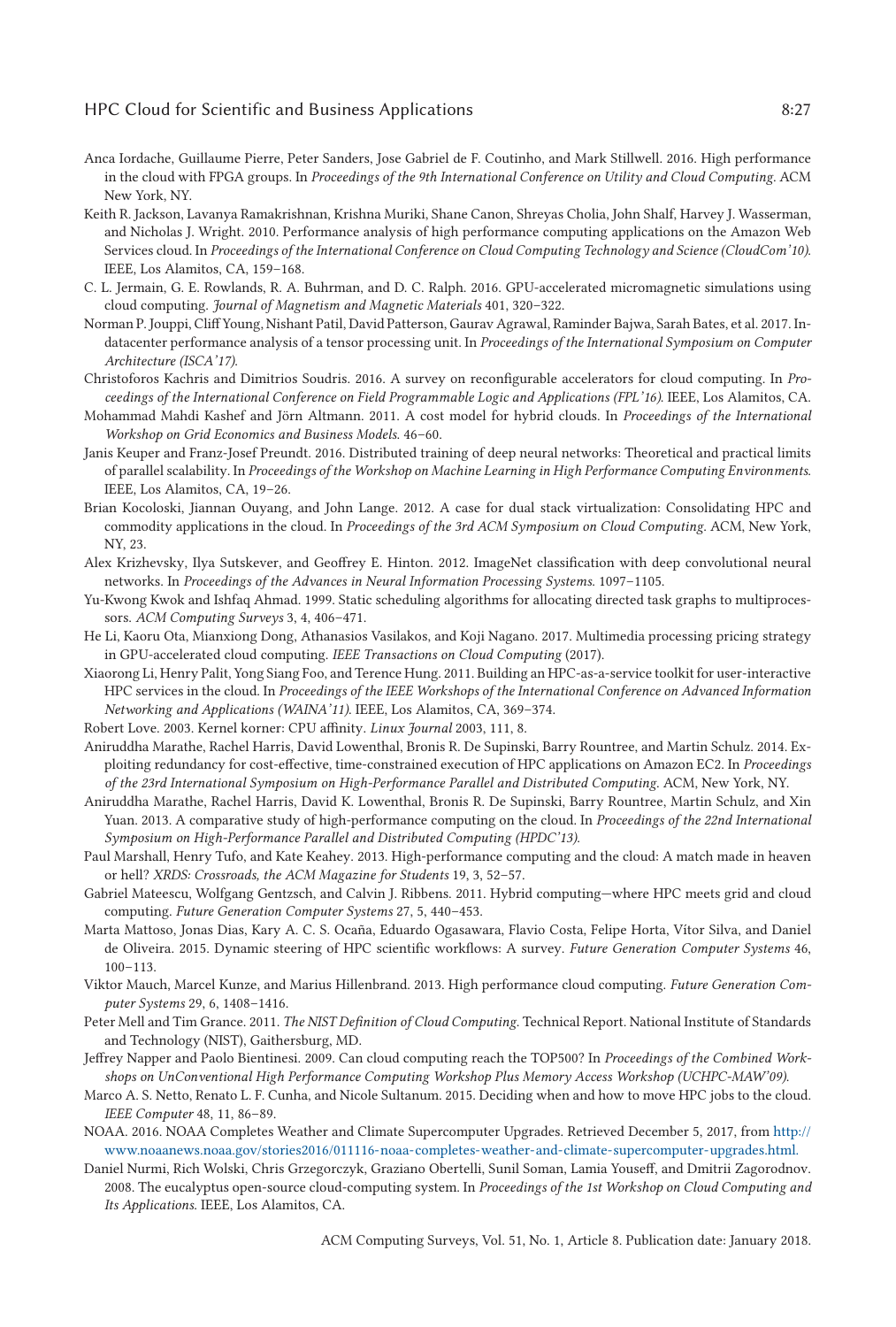## <span id="page-26-0"></span>HPC Cloud for Scientific and Business Applications 6:27

- Anca Iordache, Guillaume Pierre, Peter Sanders, Jose Gabriel de F. Coutinho, and Mark Stillwell. 2016. High performance in the cloud with FPGA groups. In *Proceedings of the 9th International Conference on Utility and Cloud Computing*. ACM New York, NY.
- Keith R. Jackson, Lavanya Ramakrishnan, Krishna Muriki, Shane Canon, Shreyas Cholia, John Shalf, Harvey J. Wasserman, and Nicholas J. Wright. 2010. Performance analysis of high performance computing applications on the Amazon Web Services cloud. In *Proceedings of the International Conference on Cloud Computing Technology and Science (CloudCom'10)*. IEEE, Los Alamitos, CA, 159–168.
- C. L. Jermain, G. E. Rowlands, R. A. Buhrman, and D. C. Ralph. 2016. GPU-accelerated micromagnetic simulations using cloud computing. *Journal of Magnetism and Magnetic Materials* 401, 320–322.
- Norman P. Jouppi, Cliff Young, Nishant Patil, David Patterson, Gaurav Agrawal, Raminder Bajwa, Sarah Bates, et al. 2017. Indatacenter performance analysis of a tensor processing unit. In *Proceedings of the International Symposium on Computer Architecture (ISCA'17)*.
- Christoforos Kachris and Dimitrios Soudris. 2016. A survey on reconfigurable accelerators for cloud computing. In *Proceedings of the International Conference on Field Programmable Logic and Applications (FPL'16)*. IEEE, Los Alamitos, CA.
- Mohammad Mahdi Kashef and Jörn Altmann. 2011. A cost model for hybrid clouds. In *Proceedings of the International Workshop on Grid Economics and Business Models*. 46–60.
- Janis Keuper and Franz-Josef Preundt. 2016. Distributed training of deep neural networks: Theoretical and practical limits of parallel scalability. In *Proceedings of the Workshop on Machine Learning in High Performance Computing Environments*. IEEE, Los Alamitos, CA, 19–26.
- Brian Kocoloski, Jiannan Ouyang, and John Lange. 2012. A case for dual stack virtualization: Consolidating HPC and commodity applications in the cloud. In *Proceedings of the 3rd ACM Symposium on Cloud Computing*. ACM, New York, NY, 23.
- Alex Krizhevsky, Ilya Sutskever, and Geoffrey E. Hinton. 2012. ImageNet classification with deep convolutional neural networks. In *Proceedings of the Advances in Neural Information Processing Systems*. 1097–1105.
- Yu-Kwong Kwok and Ishfaq Ahmad. 1999. Static scheduling algorithms for allocating directed task graphs to multiprocessors. *ACM Computing Surveys* 3, 4, 406–471.
- He Li, Kaoru Ota, Mianxiong Dong, Athanasios Vasilakos, and Koji Nagano. 2017. Multimedia processing pricing strategy in GPU-accelerated cloud computing. *IEEE Transactions on Cloud Computing* (2017).
- Xiaorong Li, Henry Palit, Yong Siang Foo, and Terence Hung. 2011. Building an HPC-as-a-service toolkit for user-interactive HPC services in the cloud. In *Proceedings of the IEEE Workshops of the International Conference on Advanced Information Networking and Applications (WAINA'11)*. IEEE, Los Alamitos, CA, 369–374.
- Robert Love. 2003. Kernel korner: CPU affinity. *Linux Journal* 2003, 111, 8.
- Aniruddha Marathe, Rachel Harris, David Lowenthal, Bronis R. De Supinski, Barry Rountree, and Martin Schulz. 2014. Exploiting redundancy for cost-effective, time-constrained execution of HPC applications on Amazon EC2. In *Proceedings of the 23rd International Symposium on High-Performance Parallel and Distributed Computing*. ACM, New York, NY.
- Aniruddha Marathe, Rachel Harris, David K. Lowenthal, Bronis R. De Supinski, Barry Rountree, Martin Schulz, and Xin Yuan. 2013. A comparative study of high-performance computing on the cloud. In *Proceedings of the 22nd International Symposium on High-Performance Parallel and Distributed Computing (HPDC'13)*.
- Paul Marshall, Henry Tufo, and Kate Keahey. 2013. High-performance computing and the cloud: A match made in heaven or hell? *XRDS: Crossroads, the ACM Magazine for Students* 19, 3, 52–57.
- Gabriel Mateescu, Wolfgang Gentzsch, and Calvin J. Ribbens. 2011. Hybrid computing—where HPC meets grid and cloud computing. *Future Generation Computer Systems* 27, 5, 440–453.
- Marta Mattoso, Jonas Dias, Kary A. C. S. Ocaña, Eduardo Ogasawara, Flavio Costa, Felipe Horta, Vítor Silva, and Daniel de Oliveira. 2015. Dynamic steering of HPC scientific workflows: A survey. *Future Generation Computer Systems* 46, 100–113.
- Viktor Mauch, Marcel Kunze, and Marius Hillenbrand. 2013. High performance cloud computing. *Future Generation Computer Systems* 29, 6, 1408–1416.
- Peter Mell and Tim Grance. 2011. *The NIST Definition of Cloud Computing*. Technical Report. National Institute of Standards and Technology (NIST), Gaithersburg, MD.
- Jeffrey Napper and Paolo Bientinesi. 2009. Can cloud computing reach the TOP500? In *Proceedings of the Combined Workshops on UnConventional High Performance Computing Workshop Plus Memory Access Workshop (UCHPC-MAW'09)*.
- Marco A. S. Netto, Renato L. F. Cunha, and Nicole Sultanum. 2015. Deciding when and how to move HPC jobs to the cloud. *IEEE Computer* 48, 11, 86–89.
- NOAA. 2016. NOAA Completes Weather and Climate Supercomputer Upgrades. Retrieved December 5, 2017, from http:// [www.noaanews.noaa.gov/stories2016/011116-noaa-completes-weather-and-climate-supercomputer-upgrades.html.](http://penalty -@M www.noaanews.noaa.gov/stories2016/011116-noaa-completes-weather-and-climate-supercomputer-upgrades.html.)
- Daniel Nurmi, Rich Wolski, Chris Grzegorczyk, Graziano Obertelli, Sunil Soman, Lamia Youseff, and Dmitrii Zagorodnov. 2008. The eucalyptus open-source cloud-computing system. In *Proceedings of the 1st Workshop on Cloud Computing and Its Applications*. IEEE, Los Alamitos, CA.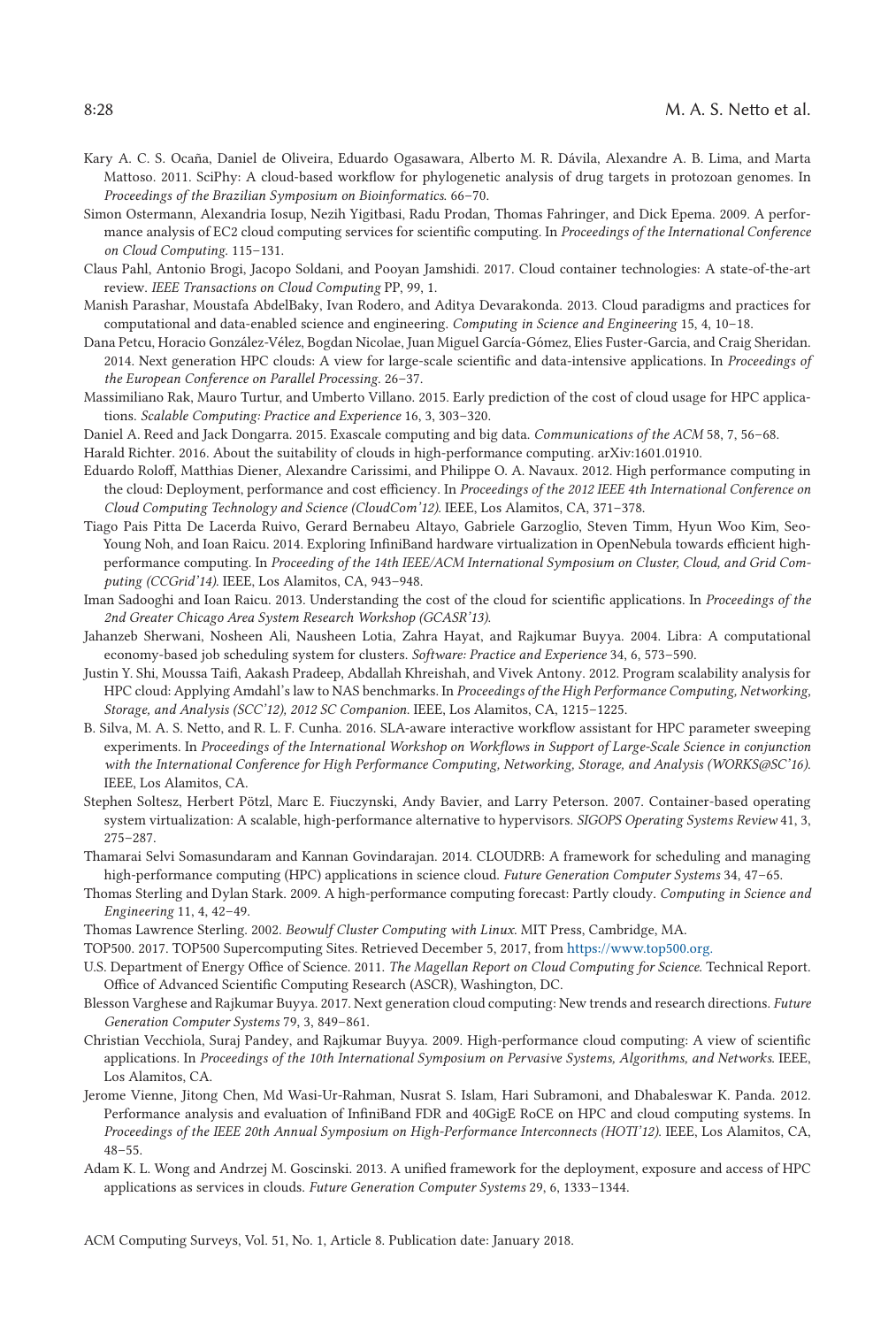- <span id="page-27-0"></span>Kary A. C. S. Ocaña, Daniel de Oliveira, Eduardo Ogasawara, Alberto M. R. Dávila, Alexandre A. B. Lima, and Marta Mattoso. 2011. SciPhy: A cloud-based workflow for phylogenetic analysis of drug targets in protozoan genomes. In *Proceedings of the Brazilian Symposium on Bioinformatics*. 66–70.
- Simon Ostermann, Alexandria Iosup, Nezih Yigitbasi, Radu Prodan, Thomas Fahringer, and Dick Epema. 2009. A performance analysis of EC2 cloud computing services for scientific computing. In *Proceedings of the International Conference on Cloud Computing*. 115–131.
- Claus Pahl, Antonio Brogi, Jacopo Soldani, and Pooyan Jamshidi. 2017. Cloud container technologies: A state-of-the-art review. *IEEE Transactions on Cloud Computing* PP, 99, 1.
- Manish Parashar, Moustafa AbdelBaky, Ivan Rodero, and Aditya Devarakonda. 2013. Cloud paradigms and practices for computational and data-enabled science and engineering. *Computing in Science and Engineering* 15, 4, 10–18.
- Dana Petcu, Horacio González-Vélez, Bogdan Nicolae, Juan Miguel García-Gómez, Elies Fuster-Garcia, and Craig Sheridan. 2014. Next generation HPC clouds: A view for large-scale scientific and data-intensive applications. In *Proceedings of the European Conference on Parallel Processing*. 26–37.
- Massimiliano Rak, Mauro Turtur, and Umberto Villano. 2015. Early prediction of the cost of cloud usage for HPC applications. *Scalable Computing: Practice and Experience* 16, 3, 303–320.
- Daniel A. Reed and Jack Dongarra. 2015. Exascale computing and big data. *Communications of the ACM* 58, 7, 56–68.
- Harald Richter. 2016. About the suitability of clouds in high-performance computing. arXiv:1601.01910.
- Eduardo Roloff, Matthias Diener, Alexandre Carissimi, and Philippe O. A. Navaux. 2012. High performance computing in the cloud: Deployment, performance and cost efficiency. In *Proceedings of the 2012 IEEE 4th International Conference on Cloud Computing Technology and Science (CloudCom'12)*. IEEE, Los Alamitos, CA, 371–378.
- Tiago Pais Pitta De Lacerda Ruivo, Gerard Bernabeu Altayo, Gabriele Garzoglio, Steven Timm, Hyun Woo Kim, Seo-Young Noh, and Ioan Raicu. 2014. Exploring InfiniBand hardware virtualization in OpenNebula towards efficient highperformance computing. In *Proceeding of the 14th IEEE/ACM International Symposium on Cluster, Cloud, and Grid Computing (CCGrid'14)*. IEEE, Los Alamitos, CA, 943–948.
- Iman Sadooghi and Ioan Raicu. 2013. Understanding the cost of the cloud for scientific applications. In *Proceedings of the 2nd Greater Chicago Area System Research Workshop (GCASR'13)*.
- Jahanzeb Sherwani, Nosheen Ali, Nausheen Lotia, Zahra Hayat, and Rajkumar Buyya. 2004. Libra: A computational economy-based job scheduling system for clusters. *Software: Practice and Experience* 34, 6, 573–590.
- Justin Y. Shi, Moussa Taifi, Aakash Pradeep, Abdallah Khreishah, and Vivek Antony. 2012. Program scalability analysis for HPC cloud: Applying Amdahl's law to NAS benchmarks. In *Proceedings of the High Performance Computing, Networking, Storage, and Analysis (SCC'12), 2012 SC Companion*. IEEE, Los Alamitos, CA, 1215–1225.
- B. Silva, M. A. S. Netto, and R. L. F. Cunha. 2016. SLA-aware interactive workflow assistant for HPC parameter sweeping experiments. In *Proceedings of the International Workshop on Workflows in Support of Large-Scale Science in conjunction with the International Conference for High Performance Computing, Networking, Storage, and Analysis (WORKS@SC'16)*. IEEE, Los Alamitos, CA.
- Stephen Soltesz, Herbert Pötzl, Marc E. Fiuczynski, Andy Bavier, and Larry Peterson. 2007. Container-based operating system virtualization: A scalable, high-performance alternative to hypervisors. *SIGOPS Operating Systems Review* 41, 3, 275–287.
- Thamarai Selvi Somasundaram and Kannan Govindarajan. 2014. CLOUDRB: A framework for scheduling and managing high-performance computing (HPC) applications in science cloud. *Future Generation Computer Systems* 34, 47–65.
- Thomas Sterling and Dylan Stark. 2009. A high-performance computing forecast: Partly cloudy. *Computing in Science and Engineering* 11, 4, 42–49.
- Thomas Lawrence Sterling. 2002. *Beowulf Cluster Computing with Linux*. MIT Press, Cambridge, MA.
- TOP500. 2017. TOP500 Supercomputing Sites. Retrieved December 5, 2017, from <https://www.top500.org.>
- U.S. Department of Energy Office of Science. 2011. *The Magellan Report on Cloud Computing for Science*. Technical Report. Office of Advanced Scientific Computing Research (ASCR), Washington, DC.
- Blesson Varghese and Rajkumar Buyya. 2017. Next generation cloud computing: New trends and research directions. *Future Generation Computer Systems* 79, 3, 849–861.
- Christian Vecchiola, Suraj Pandey, and Rajkumar Buyya. 2009. High-performance cloud computing: A view of scientific applications. In *Proceedings of the 10th International Symposium on Pervasive Systems, Algorithms, and Networks*. IEEE, Los Alamitos, CA.
- Jerome Vienne, Jitong Chen, Md Wasi-Ur-Rahman, Nusrat S. Islam, Hari Subramoni, and Dhabaleswar K. Panda. 2012. Performance analysis and evaluation of InfiniBand FDR and 40GigE RoCE on HPC and cloud computing systems. In *Proceedings of the IEEE 20th Annual Symposium on High-Performance Interconnects (HOTI'12)*. IEEE, Los Alamitos, CA, 48–55.
- Adam K. L. Wong and Andrzej M. Goscinski. 2013. A unified framework for the deployment, exposure and access of HPC applications as services in clouds. *Future Generation Computer Systems* 29, 6, 1333–1344.

ACM Computing Surveys, Vol. 51, No. 1, Article 8. Publication date: January 2018.